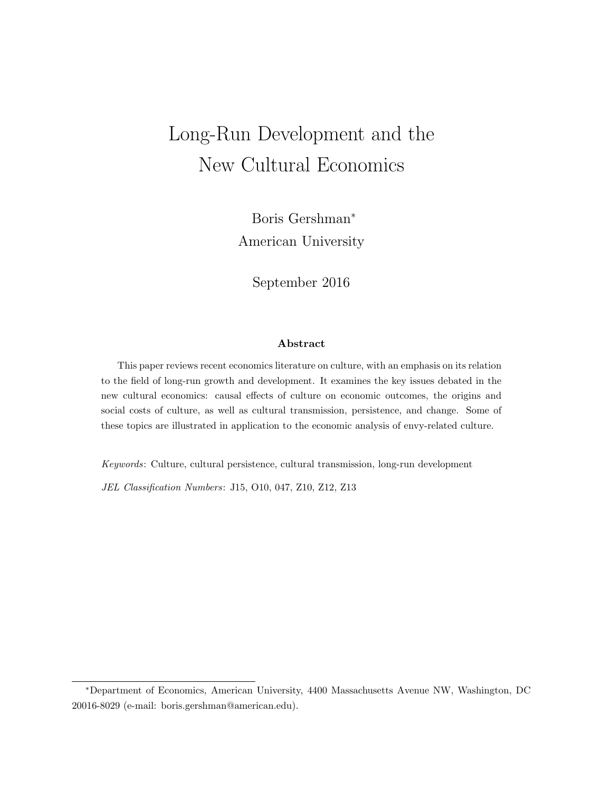# Long-Run Development and the New Cultural Economics

Boris Gershman<sup>∗</sup> American University

September 2016

#### Abstract

This paper reviews recent economics literature on culture, with an emphasis on its relation to the field of long-run growth and development. It examines the key issues debated in the new cultural economics: causal effects of culture on economic outcomes, the origins and social costs of culture, as well as cultural transmission, persistence, and change. Some of these topics are illustrated in application to the economic analysis of envy-related culture.

Keywords: Culture, cultural persistence, cultural transmission, long-run development

JEL Classification Numbers: J15, O10, 047, Z10, Z12, Z13

<sup>∗</sup>Department of Economics, American University, 4400 Massachusetts Avenue NW, Washington, DC 20016-8029 (e-mail: boris.gershman@american.edu).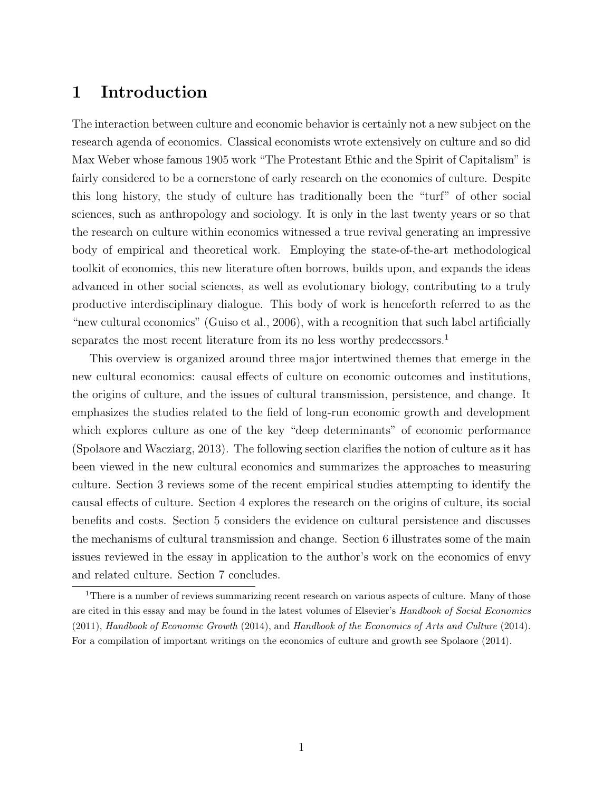## 1 Introduction

The interaction between culture and economic behavior is certainly not a new subject on the research agenda of economics. Classical economists wrote extensively on culture and so did Max Weber whose famous 1905 work "The Protestant Ethic and the Spirit of Capitalism" is fairly considered to be a cornerstone of early research on the economics of culture. Despite this long history, the study of culture has traditionally been the "turf" of other social sciences, such as anthropology and sociology. It is only in the last twenty years or so that the research on culture within economics witnessed a true revival generating an impressive body of empirical and theoretical work. Employing the state-of-the-art methodological toolkit of economics, this new literature often borrows, builds upon, and expands the ideas advanced in other social sciences, as well as evolutionary biology, contributing to a truly productive interdisciplinary dialogue. This body of work is henceforth referred to as the "new cultural economics" (Guiso et al., 2006), with a recognition that such label artificially separates the most recent literature from its no less worthy predecessors.<sup>[1](#page-1-0)</sup>

This overview is organized around three major intertwined themes that emerge in the new cultural economics: causal effects of culture on economic outcomes and institutions, the origins of culture, and the issues of cultural transmission, persistence, and change. It emphasizes the studies related to the field of long-run economic growth and development which explores culture as one of the key "deep determinants" of economic performance (Spolaore and Wacziarg, 2013). The following section clarifies the notion of culture as it has been viewed in the new cultural economics and summarizes the approaches to measuring culture. Section [3](#page-6-0) reviews some of the recent empirical studies attempting to identify the causal effects of culture. Section [4](#page-11-0) explores the research on the origins of culture, its social benefits and costs. Section 5 considers the evidence on cultural persistence and discusses the mechanisms of cultural transmission and change. Section [6](#page-27-0) illustrates some of the main issues reviewed in the essay in application to the author's work on the economics of envy and related culture. Section [7](#page-31-0) concludes.

<span id="page-1-0"></span><sup>&</sup>lt;sup>1</sup>There is a number of reviews summarizing recent research on various aspects of culture. Many of those are cited in this essay and may be found in the latest volumes of Elsevier's Handbook of Social Economics (2011), Handbook of Economic Growth (2014), and Handbook of the Economics of Arts and Culture (2014). For a compilation of important writings on the economics of culture and growth see Spolaore (2014).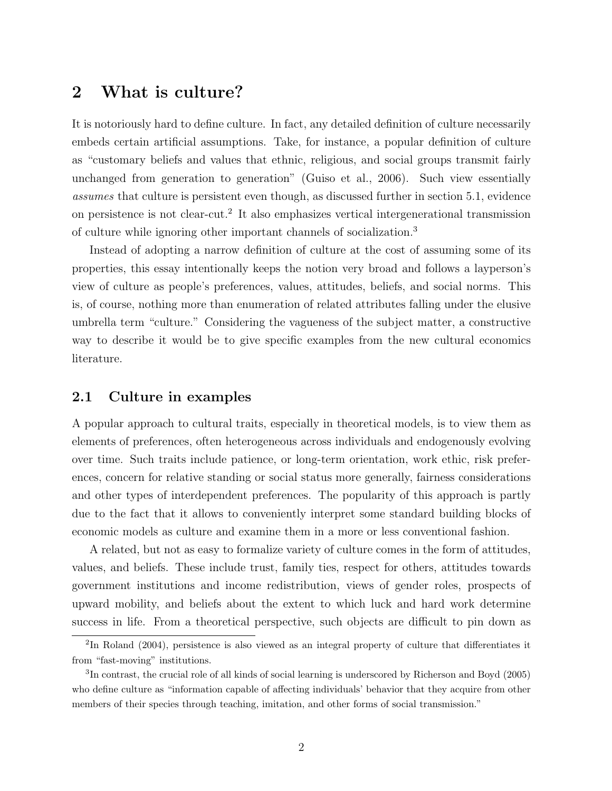## 2 What is culture?

It is notoriously hard to define culture. In fact, any detailed definition of culture necessarily embeds certain artificial assumptions. Take, for instance, a popular definition of culture as "customary beliefs and values that ethnic, religious, and social groups transmit fairly unchanged from generation to generation" (Guiso et al., 2006). Such view essentially assumes that culture is persistent even though, as discussed further in section [5.1,](#page-18-0) evidence on persistence is not clear-cut.<sup>[2](#page-2-0)</sup> It also emphasizes vertical intergenerational transmission of culture while ignoring other important channels of socialization.[3](#page-2-1)

Instead of adopting a narrow definition of culture at the cost of assuming some of its properties, this essay intentionally keeps the notion very broad and follows a layperson's view of culture as people's preferences, values, attitudes, beliefs, and social norms. This is, of course, nothing more than enumeration of related attributes falling under the elusive umbrella term "culture." Considering the vagueness of the subject matter, a constructive way to describe it would be to give specific examples from the new cultural economics literature.

#### 2.1 Culture in examples

A popular approach to cultural traits, especially in theoretical models, is to view them as elements of preferences, often heterogeneous across individuals and endogenously evolving over time. Such traits include patience, or long-term orientation, work ethic, risk preferences, concern for relative standing or social status more generally, fairness considerations and other types of interdependent preferences. The popularity of this approach is partly due to the fact that it allows to conveniently interpret some standard building blocks of economic models as culture and examine them in a more or less conventional fashion.

A related, but not as easy to formalize variety of culture comes in the form of attitudes, values, and beliefs. These include trust, family ties, respect for others, attitudes towards government institutions and income redistribution, views of gender roles, prospects of upward mobility, and beliefs about the extent to which luck and hard work determine success in life. From a theoretical perspective, such objects are difficult to pin down as

<span id="page-2-0"></span><sup>&</sup>lt;sup>2</sup>In Roland (2004), persistence is also viewed as an integral property of culture that differentiates it from "fast-moving" institutions.

<span id="page-2-1"></span><sup>&</sup>lt;sup>3</sup>In contrast, the crucial role of all kinds of social learning is underscored by Richerson and Boyd (2005) who define culture as "information capable of affecting individuals' behavior that they acquire from other members of their species through teaching, imitation, and other forms of social transmission."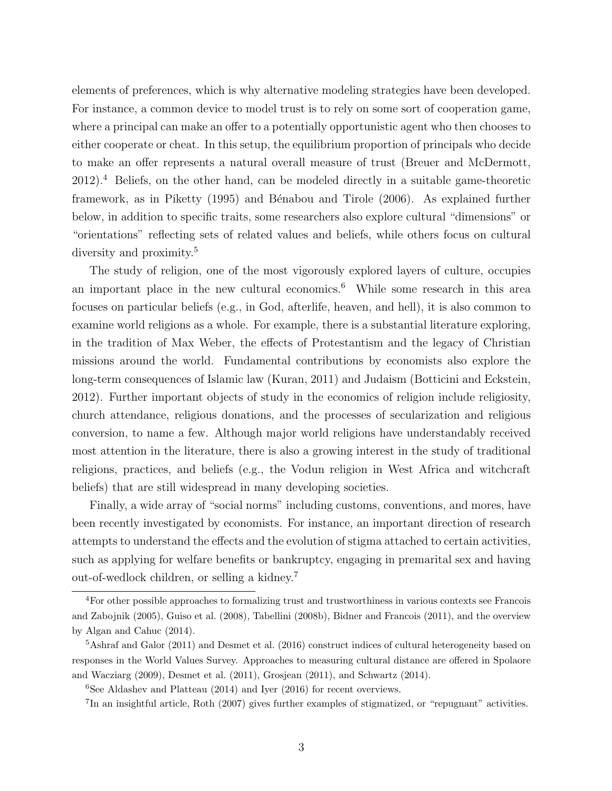elements of preferences, which is why alternative modeling strategies have been developed. For instance, a common device to model trust is to rely on some sort of cooperation game, where a principal can make an offer to a potentially opportunistic agent who then chooses to either cooperate or cheat. In this setup, the equilibrium proportion of principals who decide to make an offer represents a natural overall measure of trust (Breuer and McDermott,  $2012$ <sup>[4](#page-3-0)</sup>. Beliefs, on the other hand, can be modeled directly in a suitable game-theoretic framework, as in Piketty (1995) and Bénabou and Tirole (2006). As explained further below, in addition to specific traits, some researchers also explore cultural "dimensions" or "orientations" reflecting sets of related values and beliefs, while others focus on cultural diversity and proximity.[5](#page-3-1)

The study of religion, one of the most vigorously explored layers of culture, occupies an important place in the new cultural economics.<sup>[6](#page-3-2)</sup> While some research in this area focuses on particular beliefs (e.g., in God, afterlife, heaven, and hell), it is also common to examine world religions as a whole. For example, there is a substantial literature exploring, in the tradition of Max Weber, the effects of Protestantism and the legacy of Christian missions around the world. Fundamental contributions by economists also explore the long-term consequences of Islamic law (Kuran, 2011) and Judaism (Botticini and Eckstein, 2012). Further important objects of study in the economics of religion include religiosity, church attendance, religious donations, and the processes of secularization and religious conversion, to name a few. Although major world religions have understandably received most attention in the literature, there is also a growing interest in the study of traditional religions, practices, and beliefs (e.g., the Vodun religion in West Africa and witchcraft beliefs) that are still widespread in many developing societies.

Finally, a wide array of "social norms" including customs, conventions, and mores, have been recently investigated by economists. For instance, an important direction of research attempts to understand the effects and the evolution of stigma attached to certain activities, such as applying for welfare benefits or bankruptcy, engaging in premarital sex and having out-of-wedlock children, or selling a kidney.[7](#page-3-3)

<span id="page-3-0"></span><sup>4</sup>For other possible approaches to formalizing trust and trustworthiness in various contexts see Francois and Zabojnik (2005), Guiso et al. (2008), Tabellini (2008b), Bidner and Francois (2011), and the overview by Algan and Cahuc (2014).

<span id="page-3-1"></span><sup>5</sup>Ashraf and Galor (2011) and Desmet et al. (2016) construct indices of cultural heterogeneity based on responses in the World Values Survey. Approaches to measuring cultural distance are offered in Spolaore and Wacziarg (2009), Desmet et al. (2011), Grosjean (2011), and Schwartz (2014).

<span id="page-3-2"></span> ${}^{6}$ See Aldashev and Platteau (2014) and Iyer (2016) for recent overviews.

<span id="page-3-3"></span><sup>&</sup>lt;sup>7</sup>In an insightful article, Roth (2007) gives further examples of stigmatized, or "repugnant" activities.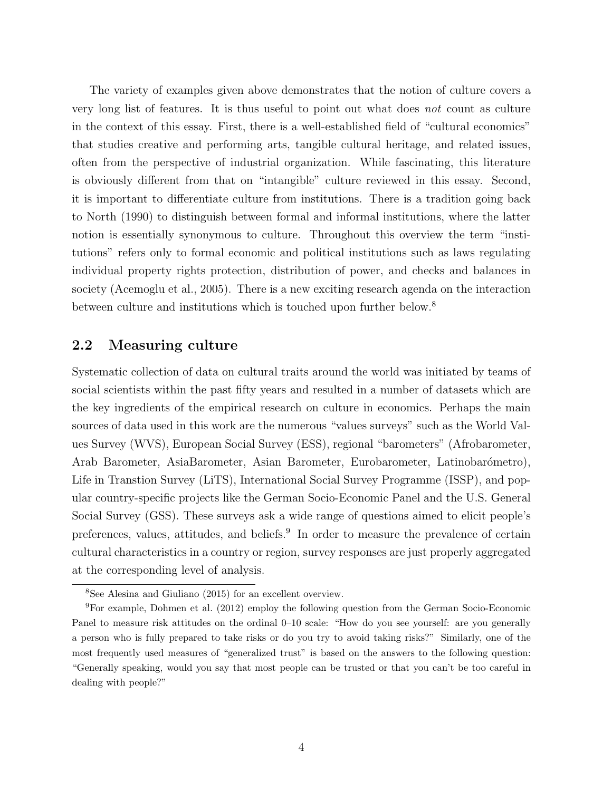The variety of examples given above demonstrates that the notion of culture covers a very long list of features. It is thus useful to point out what does not count as culture in the context of this essay. First, there is a well-established field of "cultural economics" that studies creative and performing arts, tangible cultural heritage, and related issues, often from the perspective of industrial organization. While fascinating, this literature is obviously different from that on "intangible" culture reviewed in this essay. Second, it is important to differentiate culture from institutions. There is a tradition going back to North (1990) to distinguish between formal and informal institutions, where the latter notion is essentially synonymous to culture. Throughout this overview the term "institutions" refers only to formal economic and political institutions such as laws regulating individual property rights protection, distribution of power, and checks and balances in society (Acemoglu et al., 2005). There is a new exciting research agenda on the interaction between culture and institutions which is touched upon further below.<sup>[8](#page-4-0)</sup>

#### 2.2 Measuring culture

Systematic collection of data on cultural traits around the world was initiated by teams of social scientists within the past fifty years and resulted in a number of datasets which are the key ingredients of the empirical research on culture in economics. Perhaps the main sources of data used in this work are the numerous "values surveys" such as the World Values Survey (WVS), European Social Survey (ESS), regional "barometers" (Afrobarometer, Arab Barometer, AsiaBarometer, Asian Barometer, Eurobarometer, Latinobarómetro), Life in Transtion Survey (LiTS), International Social Survey Programme (ISSP), and popular country-specific projects like the German Socio-Economic Panel and the U.S. General Social Survey (GSS). These surveys ask a wide range of questions aimed to elicit people's preferences, values, attitudes, and beliefs.<sup>[9](#page-4-1)</sup> In order to measure the prevalence of certain cultural characteristics in a country or region, survey responses are just properly aggregated at the corresponding level of analysis.

<span id="page-4-1"></span><span id="page-4-0"></span><sup>8</sup>See Alesina and Giuliano (2015) for an excellent overview.

<sup>9</sup>For example, Dohmen et al. (2012) employ the following question from the German Socio-Economic Panel to measure risk attitudes on the ordinal  $0-10$  scale: "How do you see yourself: are you generally a person who is fully prepared to take risks or do you try to avoid taking risks?" Similarly, one of the most frequently used measures of "generalized trust" is based on the answers to the following question: "Generally speaking, would you say that most people can be trusted or that you can't be too careful in dealing with people?"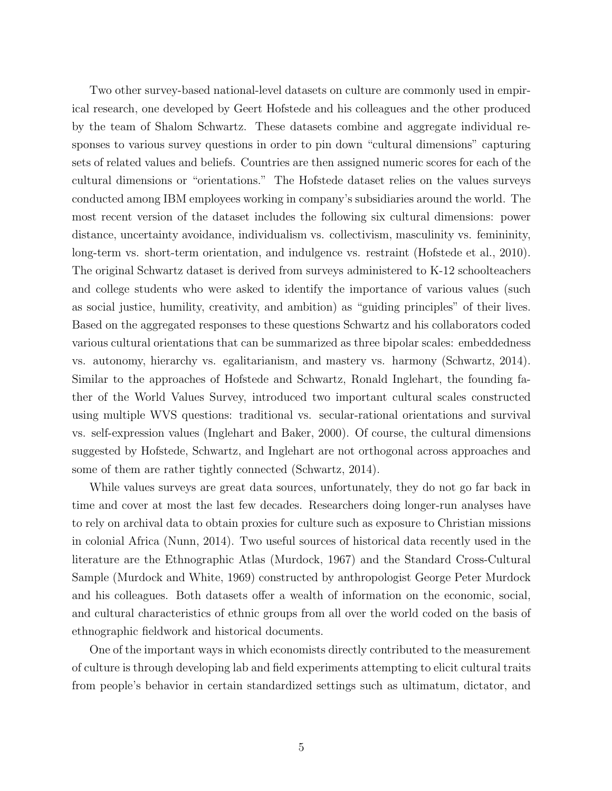Two other survey-based national-level datasets on culture are commonly used in empirical research, one developed by Geert Hofstede and his colleagues and the other produced by the team of Shalom Schwartz. These datasets combine and aggregate individual responses to various survey questions in order to pin down "cultural dimensions" capturing sets of related values and beliefs. Countries are then assigned numeric scores for each of the cultural dimensions or "orientations." The Hofstede dataset relies on the values surveys conducted among IBM employees working in company's subsidiaries around the world. The most recent version of the dataset includes the following six cultural dimensions: power distance, uncertainty avoidance, individualism vs. collectivism, masculinity vs. femininity, long-term vs. short-term orientation, and indulgence vs. restraint (Hofstede et al., 2010). The original Schwartz dataset is derived from surveys administered to K-12 schoolteachers and college students who were asked to identify the importance of various values (such as social justice, humility, creativity, and ambition) as "guiding principles" of their lives. Based on the aggregated responses to these questions Schwartz and his collaborators coded various cultural orientations that can be summarized as three bipolar scales: embeddedness vs. autonomy, hierarchy vs. egalitarianism, and mastery vs. harmony (Schwartz, 2014). Similar to the approaches of Hofstede and Schwartz, Ronald Inglehart, the founding father of the World Values Survey, introduced two important cultural scales constructed using multiple WVS questions: traditional vs. secular-rational orientations and survival vs. self-expression values (Inglehart and Baker, 2000). Of course, the cultural dimensions suggested by Hofstede, Schwartz, and Inglehart are not orthogonal across approaches and some of them are rather tightly connected (Schwartz, 2014).

While values surveys are great data sources, unfortunately, they do not go far back in time and cover at most the last few decades. Researchers doing longer-run analyses have to rely on archival data to obtain proxies for culture such as exposure to Christian missions in colonial Africa (Nunn, 2014). Two useful sources of historical data recently used in the literature are the Ethnographic Atlas (Murdock, 1967) and the Standard Cross-Cultural Sample (Murdock and White, 1969) constructed by anthropologist George Peter Murdock and his colleagues. Both datasets offer a wealth of information on the economic, social, and cultural characteristics of ethnic groups from all over the world coded on the basis of ethnographic fieldwork and historical documents.

One of the important ways in which economists directly contributed to the measurement of culture is through developing lab and field experiments attempting to elicit cultural traits from people's behavior in certain standardized settings such as ultimatum, dictator, and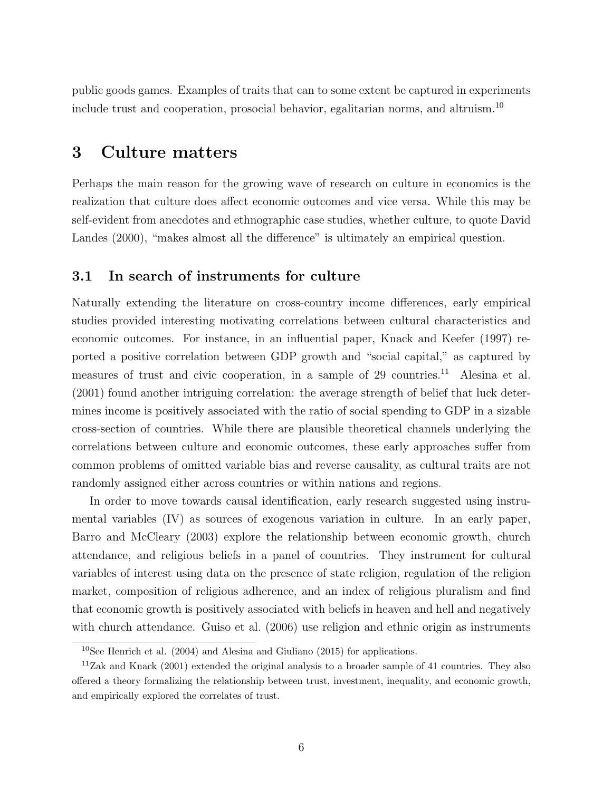public goods games. Examples of traits that can to some extent be captured in experiments include trust and cooperation, prosocial behavior, egalitarian norms, and altruism.[10](#page-6-1)

## <span id="page-6-0"></span>3 Culture matters

Perhaps the main reason for the growing wave of research on culture in economics is the realization that culture does affect economic outcomes and vice versa. While this may be self-evident from anecdotes and ethnographic case studies, whether culture, to quote David Landes (2000), "makes almost all the difference" is ultimately an empirical question.

### 3.1 In search of instruments for culture

Naturally extending the literature on cross-country income differences, early empirical studies provided interesting motivating correlations between cultural characteristics and economic outcomes. For instance, in an influential paper, Knack and Keefer (1997) reported a positive correlation between GDP growth and "social capital," as captured by measures of trust and civic cooperation, in a sample of 29 countries.<sup>[11](#page-6-2)</sup> Alesina et al. (2001) found another intriguing correlation: the average strength of belief that luck determines income is positively associated with the ratio of social spending to GDP in a sizable cross-section of countries. While there are plausible theoretical channels underlying the correlations between culture and economic outcomes, these early approaches suffer from common problems of omitted variable bias and reverse causality, as cultural traits are not randomly assigned either across countries or within nations and regions.

In order to move towards causal identification, early research suggested using instrumental variables (IV) as sources of exogenous variation in culture. In an early paper, Barro and McCleary (2003) explore the relationship between economic growth, church attendance, and religious beliefs in a panel of countries. They instrument for cultural variables of interest using data on the presence of state religion, regulation of the religion market, composition of religious adherence, and an index of religious pluralism and find that economic growth is positively associated with beliefs in heaven and hell and negatively with church attendance. Guiso et al.  $(2006)$  use religion and ethnic origin as instruments

<span id="page-6-2"></span><span id="page-6-1"></span><sup>10</sup>See Henrich et al. (2004) and Alesina and Giuliano (2015) for applications.

 $11$ Zak and Knack (2001) extended the original analysis to a broader sample of 41 countries. They also offered a theory formalizing the relationship between trust, investment, inequality, and economic growth, and empirically explored the correlates of trust.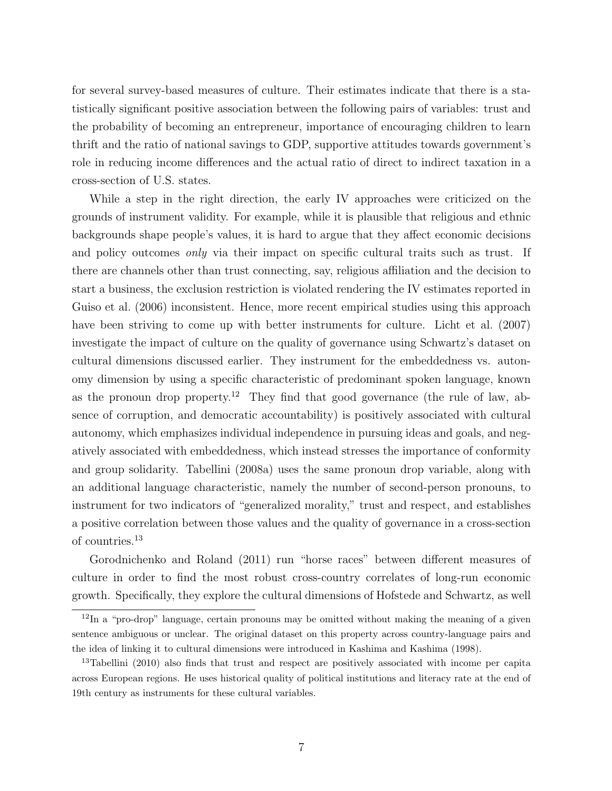for several survey-based measures of culture. Their estimates indicate that there is a statistically significant positive association between the following pairs of variables: trust and the probability of becoming an entrepreneur, importance of encouraging children to learn thrift and the ratio of national savings to GDP, supportive attitudes towards government's role in reducing income differences and the actual ratio of direct to indirect taxation in a cross-section of U.S. states.

While a step in the right direction, the early IV approaches were criticized on the grounds of instrument validity. For example, while it is plausible that religious and ethnic backgrounds shape people's values, it is hard to argue that they affect economic decisions and policy outcomes *only* via their impact on specific cultural traits such as trust. If there are channels other than trust connecting, say, religious affiliation and the decision to start a business, the exclusion restriction is violated rendering the IV estimates reported in Guiso et al. (2006) inconsistent. Hence, more recent empirical studies using this approach have been striving to come up with better instruments for culture. Licht et al. (2007) investigate the impact of culture on the quality of governance using Schwartz's dataset on cultural dimensions discussed earlier. They instrument for the embeddedness vs. autonomy dimension by using a specific characteristic of predominant spoken language, known as the pronoun drop property.<sup>[12](#page-7-0)</sup> They find that good governance (the rule of law, absence of corruption, and democratic accountability) is positively associated with cultural autonomy, which emphasizes individual independence in pursuing ideas and goals, and negatively associated with embeddedness, which instead stresses the importance of conformity and group solidarity. Tabellini (2008a) uses the same pronoun drop variable, along with an additional language characteristic, namely the number of second-person pronouns, to instrument for two indicators of "generalized morality," trust and respect, and establishes a positive correlation between those values and the quality of governance in a cross-section of countries.[13](#page-7-1)

Gorodnichenko and Roland (2011) run "horse races" between different measures of culture in order to find the most robust cross-country correlates of long-run economic growth. Specifically, they explore the cultural dimensions of Hofstede and Schwartz, as well

<span id="page-7-0"></span><sup>&</sup>lt;sup>12</sup>In a "pro-drop" language, certain pronouns may be omitted without making the meaning of a given sentence ambiguous or unclear. The original dataset on this property across country-language pairs and the idea of linking it to cultural dimensions were introduced in Kashima and Kashima (1998).

<span id="page-7-1"></span><sup>&</sup>lt;sup>13</sup>Tabellini (2010) also finds that trust and respect are positively associated with income per capita across European regions. He uses historical quality of political institutions and literacy rate at the end of 19th century as instruments for these cultural variables.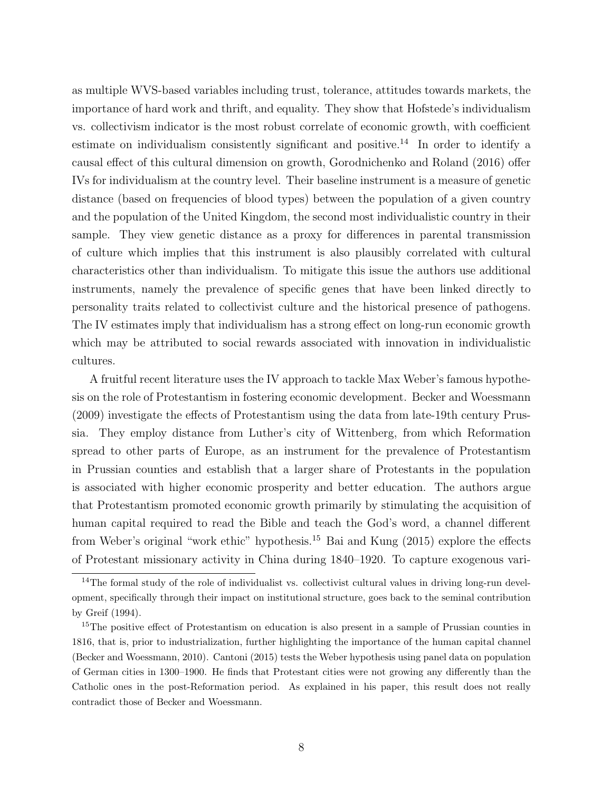as multiple WVS-based variables including trust, tolerance, attitudes towards markets, the importance of hard work and thrift, and equality. They show that Hofstede's individualism vs. collectivism indicator is the most robust correlate of economic growth, with coefficient estimate on individualism consistently significant and positive.<sup>[14](#page-8-0)</sup> In order to identify a causal effect of this cultural dimension on growth, Gorodnichenko and Roland (2016) offer IVs for individualism at the country level. Their baseline instrument is a measure of genetic distance (based on frequencies of blood types) between the population of a given country and the population of the United Kingdom, the second most individualistic country in their sample. They view genetic distance as a proxy for differences in parental transmission of culture which implies that this instrument is also plausibly correlated with cultural characteristics other than individualism. To mitigate this issue the authors use additional instruments, namely the prevalence of specific genes that have been linked directly to personality traits related to collectivist culture and the historical presence of pathogens. The IV estimates imply that individualism has a strong effect on long-run economic growth which may be attributed to social rewards associated with innovation in individualistic cultures.

A fruitful recent literature uses the IV approach to tackle Max Weber's famous hypothesis on the role of Protestantism in fostering economic development. Becker and Woessmann (2009) investigate the effects of Protestantism using the data from late-19th century Prussia. They employ distance from Luther's city of Wittenberg, from which Reformation spread to other parts of Europe, as an instrument for the prevalence of Protestantism in Prussian counties and establish that a larger share of Protestants in the population is associated with higher economic prosperity and better education. The authors argue that Protestantism promoted economic growth primarily by stimulating the acquisition of human capital required to read the Bible and teach the God's word, a channel different from Weber's original "work ethic" hypothesis.<sup>[15](#page-8-1)</sup> Bai and Kung  $(2015)$  explore the effects of Protestant missionary activity in China during 1840–1920. To capture exogenous vari-

<span id="page-8-0"></span><sup>&</sup>lt;sup>14</sup>The formal study of the role of individualist vs. collectivist cultural values in driving long-run development, specifically through their impact on institutional structure, goes back to the seminal contribution by Greif (1994).

<span id="page-8-1"></span><sup>&</sup>lt;sup>15</sup>The positive effect of Protestantism on education is also present in a sample of Prussian counties in 1816, that is, prior to industrialization, further highlighting the importance of the human capital channel (Becker and Woessmann, 2010). Cantoni (2015) tests the Weber hypothesis using panel data on population of German cities in 1300–1900. He finds that Protestant cities were not growing any differently than the Catholic ones in the post-Reformation period. As explained in his paper, this result does not really contradict those of Becker and Woessmann.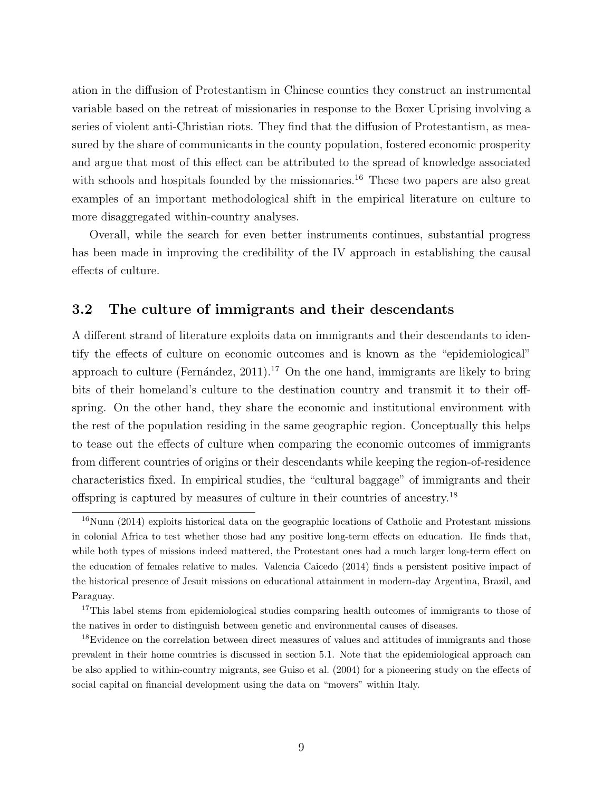ation in the diffusion of Protestantism in Chinese counties they construct an instrumental variable based on the retreat of missionaries in response to the Boxer Uprising involving a series of violent anti-Christian riots. They find that the diffusion of Protestantism, as measured by the share of communicants in the county population, fostered economic prosperity and argue that most of this effect can be attributed to the spread of knowledge associated with schools and hospitals founded by the missionaries.<sup>[16](#page-9-0)</sup> These two papers are also great examples of an important methodological shift in the empirical literature on culture to more disaggregated within-country analyses.

Overall, while the search for even better instruments continues, substantial progress has been made in improving the credibility of the IV approach in establishing the causal effects of culture.

#### <span id="page-9-3"></span>3.2 The culture of immigrants and their descendants

A different strand of literature exploits data on immigrants and their descendants to identify the effects of culture on economic outcomes and is known as the "epidemiological" approach to culture (Fernández, 2011).<sup>[17](#page-9-1)</sup> On the one hand, immigrants are likely to bring bits of their homeland's culture to the destination country and transmit it to their offspring. On the other hand, they share the economic and institutional environment with the rest of the population residing in the same geographic region. Conceptually this helps to tease out the effects of culture when comparing the economic outcomes of immigrants from different countries of origins or their descendants while keeping the region-of-residence characteristics fixed. In empirical studies, the "cultural baggage" of immigrants and their offspring is captured by measures of culture in their countries of ancestry.[18](#page-9-2)

<span id="page-9-0"></span><sup>16</sup>Nunn (2014) exploits historical data on the geographic locations of Catholic and Protestant missions in colonial Africa to test whether those had any positive long-term effects on education. He finds that, while both types of missions indeed mattered, the Protestant ones had a much larger long-term effect on the education of females relative to males. Valencia Caicedo (2014) finds a persistent positive impact of the historical presence of Jesuit missions on educational attainment in modern-day Argentina, Brazil, and Paraguay.

<span id="page-9-1"></span><sup>&</sup>lt;sup>17</sup>This label stems from epidemiological studies comparing health outcomes of immigrants to those of the natives in order to distinguish between genetic and environmental causes of diseases.

<span id="page-9-2"></span><sup>&</sup>lt;sup>18</sup>Evidence on the correlation between direct measures of values and attitudes of immigrants and those prevalent in their home countries is discussed in section [5.1.](#page-18-0) Note that the epidemiological approach can be also applied to within-country migrants, see Guiso et al. (2004) for a pioneering study on the effects of social capital on financial development using the data on "movers" within Italy.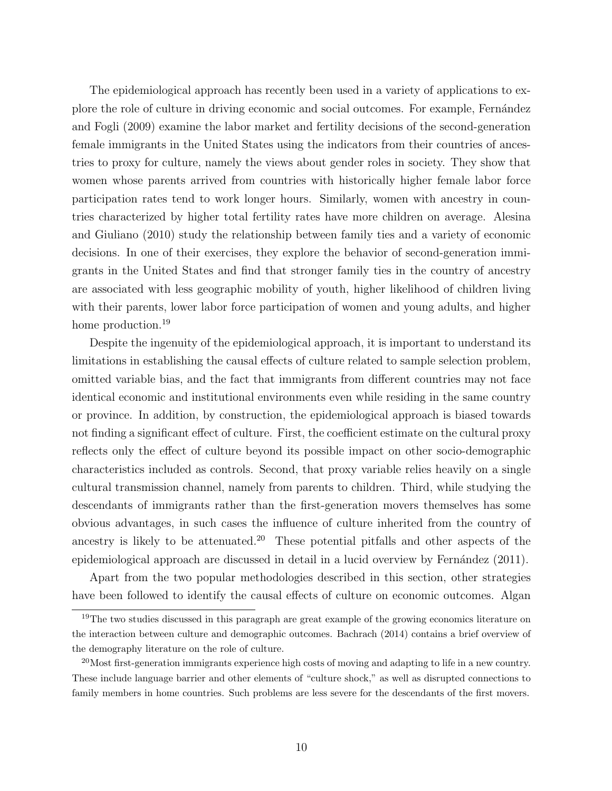The epidemiological approach has recently been used in a variety of applications to explore the role of culture in driving economic and social outcomes. For example, Fernández and Fogli (2009) examine the labor market and fertility decisions of the second-generation female immigrants in the United States using the indicators from their countries of ancestries to proxy for culture, namely the views about gender roles in society. They show that women whose parents arrived from countries with historically higher female labor force participation rates tend to work longer hours. Similarly, women with ancestry in countries characterized by higher total fertility rates have more children on average. Alesina and Giuliano (2010) study the relationship between family ties and a variety of economic decisions. In one of their exercises, they explore the behavior of second-generation immigrants in the United States and find that stronger family ties in the country of ancestry are associated with less geographic mobility of youth, higher likelihood of children living with their parents, lower labor force participation of women and young adults, and higher home production.<sup>[19](#page-10-0)</sup>

Despite the ingenuity of the epidemiological approach, it is important to understand its limitations in establishing the causal effects of culture related to sample selection problem, omitted variable bias, and the fact that immigrants from different countries may not face identical economic and institutional environments even while residing in the same country or province. In addition, by construction, the epidemiological approach is biased towards not finding a significant effect of culture. First, the coefficient estimate on the cultural proxy reflects only the effect of culture beyond its possible impact on other socio-demographic characteristics included as controls. Second, that proxy variable relies heavily on a single cultural transmission channel, namely from parents to children. Third, while studying the descendants of immigrants rather than the first-generation movers themselves has some obvious advantages, in such cases the influence of culture inherited from the country of ancestry is likely to be attenuated.[20](#page-10-1) These potential pitfalls and other aspects of the epidemiological approach are discussed in detail in a lucid overview by Fernández (2011).

Apart from the two popular methodologies described in this section, other strategies have been followed to identify the causal effects of culture on economic outcomes. Algan

<span id="page-10-0"></span><sup>&</sup>lt;sup>19</sup>The two studies discussed in this paragraph are great example of the growing economics literature on the interaction between culture and demographic outcomes. Bachrach (2014) contains a brief overview of the demography literature on the role of culture.

<span id="page-10-1"></span> $^{20}$ Most first-generation immigrants experience high costs of moving and adapting to life in a new country. These include language barrier and other elements of "culture shock," as well as disrupted connections to family members in home countries. Such problems are less severe for the descendants of the first movers.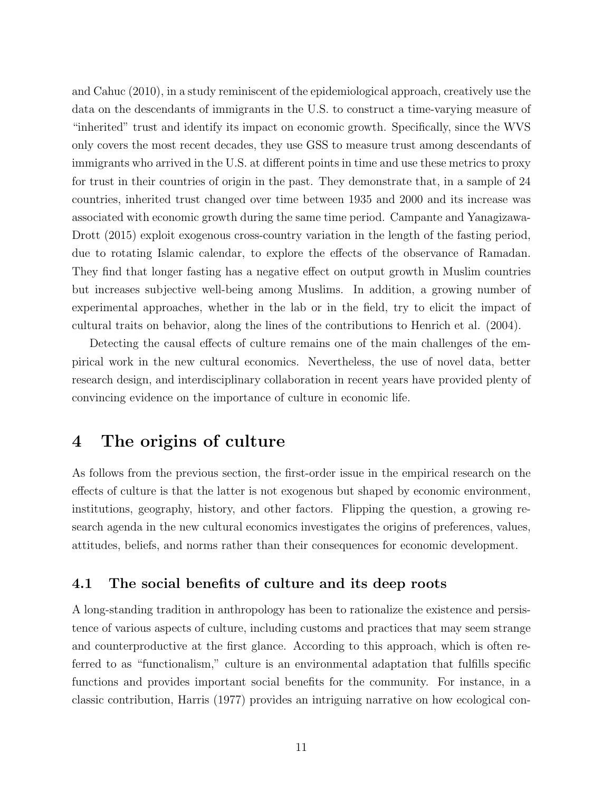and Cahuc (2010), in a study reminiscent of the epidemiological approach, creatively use the data on the descendants of immigrants in the U.S. to construct a time-varying measure of "inherited" trust and identify its impact on economic growth. Specifically, since the WVS only covers the most recent decades, they use GSS to measure trust among descendants of immigrants who arrived in the U.S. at different points in time and use these metrics to proxy for trust in their countries of origin in the past. They demonstrate that, in a sample of 24 countries, inherited trust changed over time between 1935 and 2000 and its increase was associated with economic growth during the same time period. Campante and Yanagizawa-Drott (2015) exploit exogenous cross-country variation in the length of the fasting period, due to rotating Islamic calendar, to explore the effects of the observance of Ramadan. They find that longer fasting has a negative effect on output growth in Muslim countries but increases subjective well-being among Muslims. In addition, a growing number of experimental approaches, whether in the lab or in the field, try to elicit the impact of cultural traits on behavior, along the lines of the contributions to Henrich et al. (2004).

Detecting the causal effects of culture remains one of the main challenges of the empirical work in the new cultural economics. Nevertheless, the use of novel data, better research design, and interdisciplinary collaboration in recent years have provided plenty of convincing evidence on the importance of culture in economic life.

## <span id="page-11-0"></span>4 The origins of culture

As follows from the previous section, the first-order issue in the empirical research on the effects of culture is that the latter is not exogenous but shaped by economic environment, institutions, geography, history, and other factors. Flipping the question, a growing research agenda in the new cultural economics investigates the origins of preferences, values, attitudes, beliefs, and norms rather than their consequences for economic development.

#### <span id="page-11-1"></span>4.1 The social benefits of culture and its deep roots

A long-standing tradition in anthropology has been to rationalize the existence and persistence of various aspects of culture, including customs and practices that may seem strange and counterproductive at the first glance. According to this approach, which is often referred to as "functionalism," culture is an environmental adaptation that fulfills specific functions and provides important social benefits for the community. For instance, in a classic contribution, Harris (1977) provides an intriguing narrative on how ecological con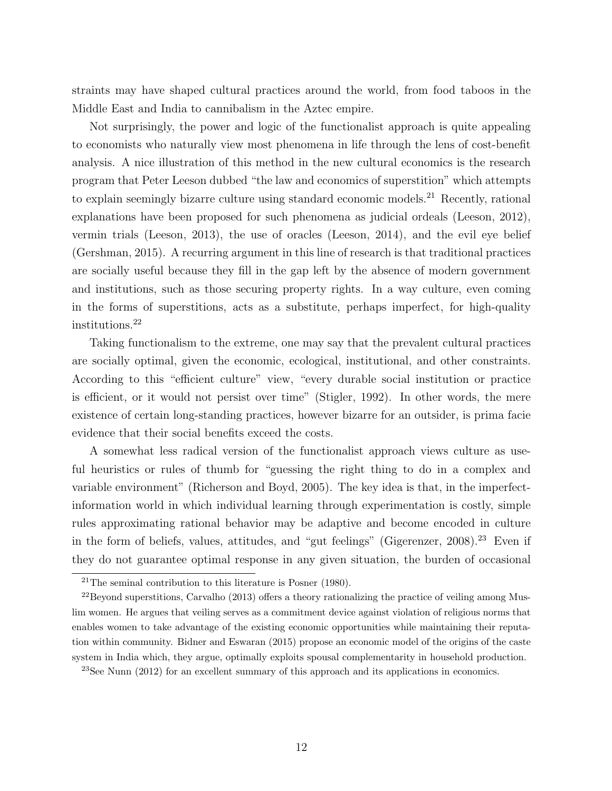straints may have shaped cultural practices around the world, from food taboos in the Middle East and India to cannibalism in the Aztec empire.

Not surprisingly, the power and logic of the functionalist approach is quite appealing to economists who naturally view most phenomena in life through the lens of cost-benefit analysis. A nice illustration of this method in the new cultural economics is the research program that Peter Leeson dubbed "the law and economics of superstition" which attempts to explain seemingly bizarre culture using standard economic models.<sup>[21](#page-12-0)</sup> Recently, rational explanations have been proposed for such phenomena as judicial ordeals (Leeson, 2012), vermin trials (Leeson, 2013), the use of oracles (Leeson, 2014), and the evil eye belief (Gershman, 2015). A recurring argument in this line of research is that traditional practices are socially useful because they fill in the gap left by the absence of modern government and institutions, such as those securing property rights. In a way culture, even coming in the forms of superstitions, acts as a substitute, perhaps imperfect, for high-quality institutions.[22](#page-12-1)

Taking functionalism to the extreme, one may say that the prevalent cultural practices are socially optimal, given the economic, ecological, institutional, and other constraints. According to this "efficient culture" view, "every durable social institution or practice is efficient, or it would not persist over time" (Stigler, 1992). In other words, the mere existence of certain long-standing practices, however bizarre for an outsider, is prima facie evidence that their social benefits exceed the costs.

A somewhat less radical version of the functionalist approach views culture as useful heuristics or rules of thumb for "guessing the right thing to do in a complex and variable environment" (Richerson and Boyd, 2005). The key idea is that, in the imperfectinformation world in which individual learning through experimentation is costly, simple rules approximating rational behavior may be adaptive and become encoded in culture in the form of beliefs, values, attitudes, and "gut feelings" (Gigerenzer,  $2008$ ).<sup>[23](#page-12-2)</sup> Even if they do not guarantee optimal response in any given situation, the burden of occasional

<span id="page-12-1"></span><span id="page-12-0"></span><sup>&</sup>lt;sup>21</sup>The seminal contribution to this literature is Posner  $(1980)$ .

 $^{22}$ Beyond superstitions, Carvalho (2013) offers a theory rationalizing the practice of veiling among Muslim women. He argues that veiling serves as a commitment device against violation of religious norms that enables women to take advantage of the existing economic opportunities while maintaining their reputation within community. Bidner and Eswaran (2015) propose an economic model of the origins of the caste system in India which, they argue, optimally exploits spousal complementarity in household production.

<span id="page-12-2"></span><sup>&</sup>lt;sup>23</sup>See Nunn (2012) for an excellent summary of this approach and its applications in economics.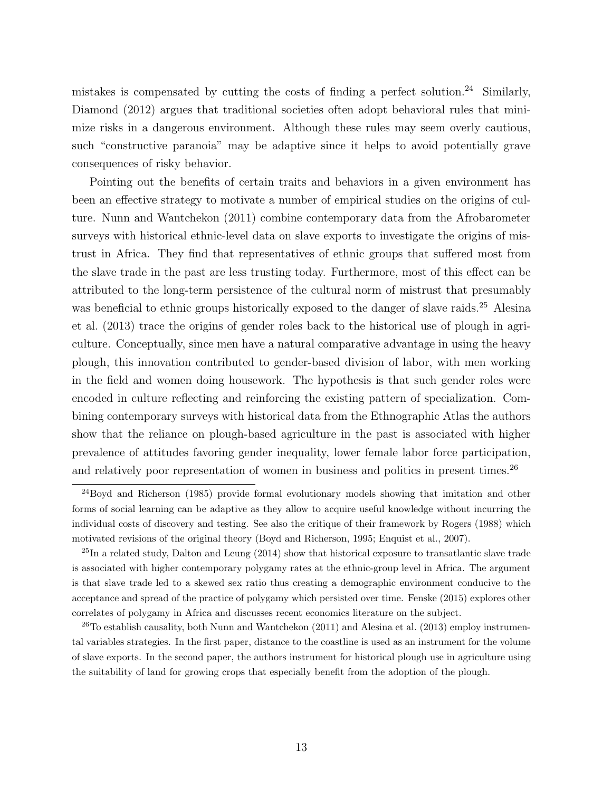mistakes is compensated by cutting the costs of finding a perfect solution.[24](#page-13-0) Similarly, Diamond (2012) argues that traditional societies often adopt behavioral rules that minimize risks in a dangerous environment. Although these rules may seem overly cautious, such "constructive paranoia" may be adaptive since it helps to avoid potentially grave consequences of risky behavior.

Pointing out the benefits of certain traits and behaviors in a given environment has been an effective strategy to motivate a number of empirical studies on the origins of culture. Nunn and Wantchekon (2011) combine contemporary data from the Afrobarometer surveys with historical ethnic-level data on slave exports to investigate the origins of mistrust in Africa. They find that representatives of ethnic groups that suffered most from the slave trade in the past are less trusting today. Furthermore, most of this effect can be attributed to the long-term persistence of the cultural norm of mistrust that presumably was beneficial to ethnic groups historically exposed to the danger of slave raids.<sup>[25](#page-13-1)</sup> Alesina et al. (2013) trace the origins of gender roles back to the historical use of plough in agriculture. Conceptually, since men have a natural comparative advantage in using the heavy plough, this innovation contributed to gender-based division of labor, with men working in the field and women doing housework. The hypothesis is that such gender roles were encoded in culture reflecting and reinforcing the existing pattern of specialization. Combining contemporary surveys with historical data from the Ethnographic Atlas the authors show that the reliance on plough-based agriculture in the past is associated with higher prevalence of attitudes favoring gender inequality, lower female labor force participation, and relatively poor representation of women in business and politics in present times.<sup>[26](#page-13-2)</sup>

<span id="page-13-0"></span><sup>&</sup>lt;sup>24</sup>Boyd and Richerson (1985) provide formal evolutionary models showing that imitation and other forms of social learning can be adaptive as they allow to acquire useful knowledge without incurring the individual costs of discovery and testing. See also the critique of their framework by Rogers (1988) which motivated revisions of the original theory (Boyd and Richerson, 1995; Enquist et al., 2007).

<span id="page-13-1"></span> $^{25}$ In a related study, Dalton and Leung (2014) show that historical exposure to transatlantic slave trade is associated with higher contemporary polygamy rates at the ethnic-group level in Africa. The argument is that slave trade led to a skewed sex ratio thus creating a demographic environment conducive to the acceptance and spread of the practice of polygamy which persisted over time. Fenske (2015) explores other correlates of polygamy in Africa and discusses recent economics literature on the subject.

<span id="page-13-2"></span> $^{26}$ To establish causality, both Nunn and Wantchekon (2011) and Alesina et al. (2013) employ instrumental variables strategies. In the first paper, distance to the coastline is used as an instrument for the volume of slave exports. In the second paper, the authors instrument for historical plough use in agriculture using the suitability of land for growing crops that especially benefit from the adoption of the plough.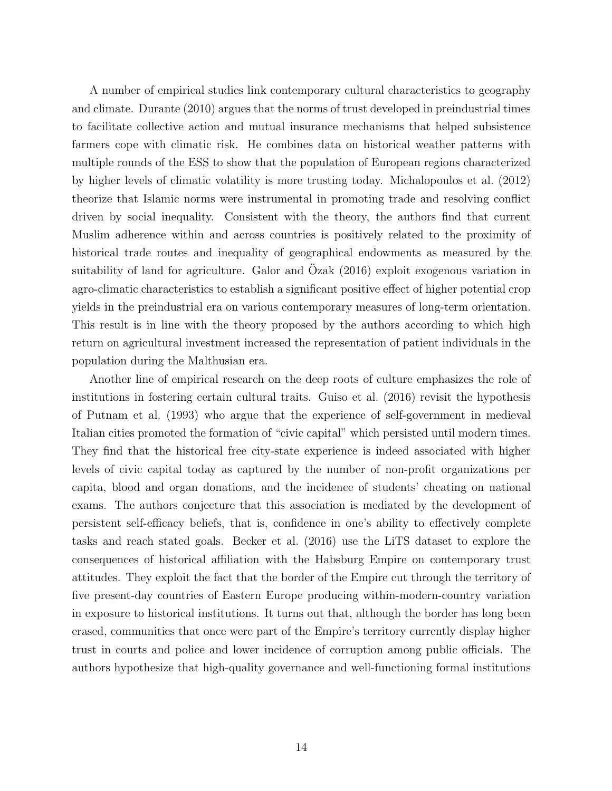A number of empirical studies link contemporary cultural characteristics to geography and climate. Durante (2010) argues that the norms of trust developed in preindustrial times to facilitate collective action and mutual insurance mechanisms that helped subsistence farmers cope with climatic risk. He combines data on historical weather patterns with multiple rounds of the ESS to show that the population of European regions characterized by higher levels of climatic volatility is more trusting today. Michalopoulos et al. (2012) theorize that Islamic norms were instrumental in promoting trade and resolving conflict driven by social inequality. Consistent with the theory, the authors find that current Muslim adherence within and across countries is positively related to the proximity of historical trade routes and inequality of geographical endowments as measured by the suitability of land for agriculture. Galor and  $\tilde{O}$ zak (2016) exploit exogenous variation in agro-climatic characteristics to establish a significant positive effect of higher potential crop yields in the preindustrial era on various contemporary measures of long-term orientation. This result is in line with the theory proposed by the authors according to which high return on agricultural investment increased the representation of patient individuals in the population during the Malthusian era.

Another line of empirical research on the deep roots of culture emphasizes the role of institutions in fostering certain cultural traits. Guiso et al. (2016) revisit the hypothesis of Putnam et al. (1993) who argue that the experience of self-government in medieval Italian cities promoted the formation of "civic capital" which persisted until modern times. They find that the historical free city-state experience is indeed associated with higher levels of civic capital today as captured by the number of non-profit organizations per capita, blood and organ donations, and the incidence of students' cheating on national exams. The authors conjecture that this association is mediated by the development of persistent self-efficacy beliefs, that is, confidence in one's ability to effectively complete tasks and reach stated goals. Becker et al. (2016) use the LiTS dataset to explore the consequences of historical affiliation with the Habsburg Empire on contemporary trust attitudes. They exploit the fact that the border of the Empire cut through the territory of five present-day countries of Eastern Europe producing within-modern-country variation in exposure to historical institutions. It turns out that, although the border has long been erased, communities that once were part of the Empire's territory currently display higher trust in courts and police and lower incidence of corruption among public officials. The authors hypothesize that high-quality governance and well-functioning formal institutions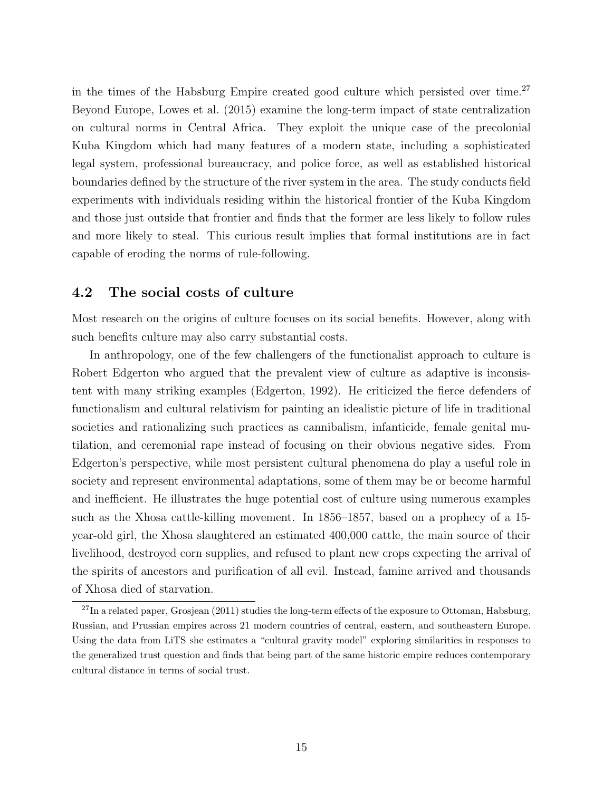in the times of the Habsburg Empire created good culture which persisted over time.[27](#page-15-0) Beyond Europe, Lowes et al. (2015) examine the long-term impact of state centralization on cultural norms in Central Africa. They exploit the unique case of the precolonial Kuba Kingdom which had many features of a modern state, including a sophisticated legal system, professional bureaucracy, and police force, as well as established historical boundaries defined by the structure of the river system in the area. The study conducts field experiments with individuals residing within the historical frontier of the Kuba Kingdom and those just outside that frontier and finds that the former are less likely to follow rules and more likely to steal. This curious result implies that formal institutions are in fact capable of eroding the norms of rule-following.

#### <span id="page-15-1"></span>4.2 The social costs of culture

Most research on the origins of culture focuses on its social benefits. However, along with such benefits culture may also carry substantial costs.

In anthropology, one of the few challengers of the functionalist approach to culture is Robert Edgerton who argued that the prevalent view of culture as adaptive is inconsistent with many striking examples (Edgerton, 1992). He criticized the fierce defenders of functionalism and cultural relativism for painting an idealistic picture of life in traditional societies and rationalizing such practices as cannibalism, infanticide, female genital mutilation, and ceremonial rape instead of focusing on their obvious negative sides. From Edgerton's perspective, while most persistent cultural phenomena do play a useful role in society and represent environmental adaptations, some of them may be or become harmful and inefficient. He illustrates the huge potential cost of culture using numerous examples such as the Xhosa cattle-killing movement. In 1856–1857, based on a prophecy of a 15 year-old girl, the Xhosa slaughtered an estimated 400,000 cattle, the main source of their livelihood, destroyed corn supplies, and refused to plant new crops expecting the arrival of the spirits of ancestors and purification of all evil. Instead, famine arrived and thousands of Xhosa died of starvation.

<span id="page-15-0"></span> $^{27}$ In a related paper, Grosjean (2011) studies the long-term effects of the exposure to Ottoman, Habsburg, Russian, and Prussian empires across 21 modern countries of central, eastern, and southeastern Europe. Using the data from LiTS she estimates a "cultural gravity model" exploring similarities in responses to the generalized trust question and finds that being part of the same historic empire reduces contemporary cultural distance in terms of social trust.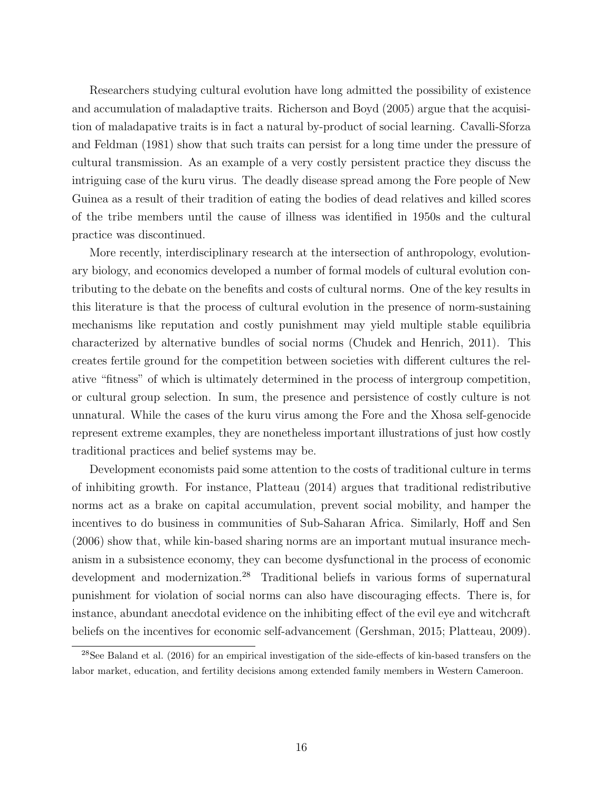Researchers studying cultural evolution have long admitted the possibility of existence and accumulation of maladaptive traits. Richerson and Boyd (2005) argue that the acquisition of maladapative traits is in fact a natural by-product of social learning. Cavalli-Sforza and Feldman (1981) show that such traits can persist for a long time under the pressure of cultural transmission. As an example of a very costly persistent practice they discuss the intriguing case of the kuru virus. The deadly disease spread among the Fore people of New Guinea as a result of their tradition of eating the bodies of dead relatives and killed scores of the tribe members until the cause of illness was identified in 1950s and the cultural practice was discontinued.

More recently, interdisciplinary research at the intersection of anthropology, evolutionary biology, and economics developed a number of formal models of cultural evolution contributing to the debate on the benefits and costs of cultural norms. One of the key results in this literature is that the process of cultural evolution in the presence of norm-sustaining mechanisms like reputation and costly punishment may yield multiple stable equilibria characterized by alternative bundles of social norms (Chudek and Henrich, 2011). This creates fertile ground for the competition between societies with different cultures the relative "fitness" of which is ultimately determined in the process of intergroup competition, or cultural group selection. In sum, the presence and persistence of costly culture is not unnatural. While the cases of the kuru virus among the Fore and the Xhosa self-genocide represent extreme examples, they are nonetheless important illustrations of just how costly traditional practices and belief systems may be.

Development economists paid some attention to the costs of traditional culture in terms of inhibiting growth. For instance, Platteau (2014) argues that traditional redistributive norms act as a brake on capital accumulation, prevent social mobility, and hamper the incentives to do business in communities of Sub-Saharan Africa. Similarly, Hoff and Sen (2006) show that, while kin-based sharing norms are an important mutual insurance mechanism in a subsistence economy, they can become dysfunctional in the process of economic development and modernization.[28](#page-16-0) Traditional beliefs in various forms of supernatural punishment for violation of social norms can also have discouraging effects. There is, for instance, abundant anecdotal evidence on the inhibiting effect of the evil eye and witchcraft beliefs on the incentives for economic self-advancement (Gershman, 2015; Platteau, 2009).

<span id="page-16-0"></span><sup>&</sup>lt;sup>28</sup>See Baland et al. (2016) for an empirical investigation of the side-effects of kin-based transfers on the labor market, education, and fertility decisions among extended family members in Western Cameroon.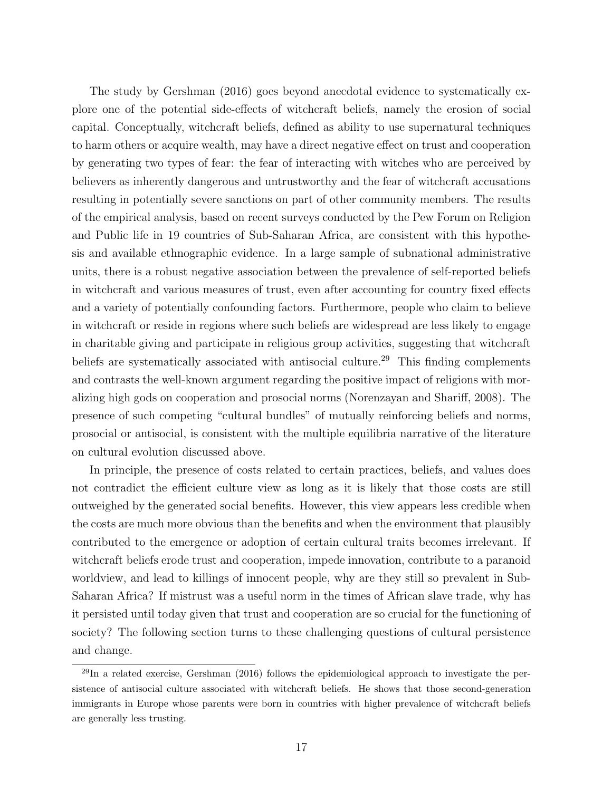The study by Gershman (2016) goes beyond anecdotal evidence to systematically explore one of the potential side-effects of witchcraft beliefs, namely the erosion of social capital. Conceptually, witchcraft beliefs, defined as ability to use supernatural techniques to harm others or acquire wealth, may have a direct negative effect on trust and cooperation by generating two types of fear: the fear of interacting with witches who are perceived by believers as inherently dangerous and untrustworthy and the fear of witchcraft accusations resulting in potentially severe sanctions on part of other community members. The results of the empirical analysis, based on recent surveys conducted by the Pew Forum on Religion and Public life in 19 countries of Sub-Saharan Africa, are consistent with this hypothesis and available ethnographic evidence. In a large sample of subnational administrative units, there is a robust negative association between the prevalence of self-reported beliefs in witchcraft and various measures of trust, even after accounting for country fixed effects and a variety of potentially confounding factors. Furthermore, people who claim to believe in witchcraft or reside in regions where such beliefs are widespread are less likely to engage in charitable giving and participate in religious group activities, suggesting that witchcraft beliefs are systematically associated with antisocial culture.<sup>[29](#page-17-0)</sup> This finding complements and contrasts the well-known argument regarding the positive impact of religions with moralizing high gods on cooperation and prosocial norms (Norenzayan and Shariff, 2008). The presence of such competing "cultural bundles" of mutually reinforcing beliefs and norms, prosocial or antisocial, is consistent with the multiple equilibria narrative of the literature on cultural evolution discussed above.

In principle, the presence of costs related to certain practices, beliefs, and values does not contradict the efficient culture view as long as it is likely that those costs are still outweighed by the generated social benefits. However, this view appears less credible when the costs are much more obvious than the benefits and when the environment that plausibly contributed to the emergence or adoption of certain cultural traits becomes irrelevant. If witchcraft beliefs erode trust and cooperation, impede innovation, contribute to a paranoid worldview, and lead to killings of innocent people, why are they still so prevalent in Sub-Saharan Africa? If mistrust was a useful norm in the times of African slave trade, why has it persisted until today given that trust and cooperation are so crucial for the functioning of society? The following section turns to these challenging questions of cultural persistence and change.

<span id="page-17-0"></span><sup>29</sup>In a related exercise, Gershman (2016) follows the epidemiological approach to investigate the persistence of antisocial culture associated with witchcraft beliefs. He shows that those second-generation immigrants in Europe whose parents were born in countries with higher prevalence of witchcraft beliefs are generally less trusting.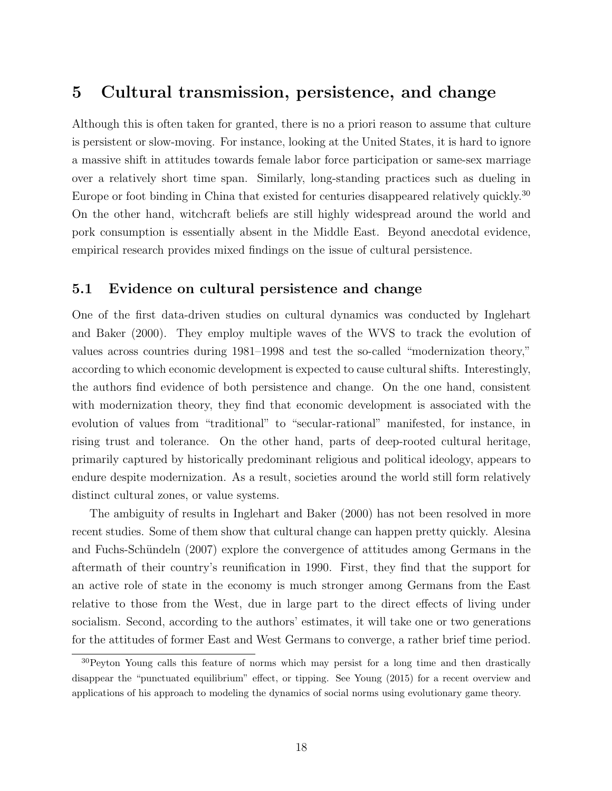## <span id="page-18-2"></span>5 Cultural transmission, persistence, and change

Although this is often taken for granted, there is no a priori reason to assume that culture is persistent or slow-moving. For instance, looking at the United States, it is hard to ignore a massive shift in attitudes towards female labor force participation or same-sex marriage over a relatively short time span. Similarly, long-standing practices such as dueling in Europe or foot binding in China that existed for centuries disappeared relatively quickly.<sup>[30](#page-18-1)</sup> On the other hand, witchcraft beliefs are still highly widespread around the world and pork consumption is essentially absent in the Middle East. Beyond anecdotal evidence, empirical research provides mixed findings on the issue of cultural persistence.

#### <span id="page-18-0"></span>5.1 Evidence on cultural persistence and change

One of the first data-driven studies on cultural dynamics was conducted by Inglehart and Baker (2000). They employ multiple waves of the WVS to track the evolution of values across countries during 1981–1998 and test the so-called "modernization theory," according to which economic development is expected to cause cultural shifts. Interestingly, the authors find evidence of both persistence and change. On the one hand, consistent with modernization theory, they find that economic development is associated with the evolution of values from "traditional" to "secular-rational" manifested, for instance, in rising trust and tolerance. On the other hand, parts of deep-rooted cultural heritage, primarily captured by historically predominant religious and political ideology, appears to endure despite modernization. As a result, societies around the world still form relatively distinct cultural zones, or value systems.

The ambiguity of results in Inglehart and Baker (2000) has not been resolved in more recent studies. Some of them show that cultural change can happen pretty quickly. Alesina and Fuchs-Schündeln (2007) explore the convergence of attitudes among Germans in the aftermath of their country's reunification in 1990. First, they find that the support for an active role of state in the economy is much stronger among Germans from the East relative to those from the West, due in large part to the direct effects of living under socialism. Second, according to the authors' estimates, it will take one or two generations for the attitudes of former East and West Germans to converge, a rather brief time period.

<span id="page-18-1"></span><sup>&</sup>lt;sup>30</sup>Peyton Young calls this feature of norms which may persist for a long time and then drastically disappear the "punctuated equilibrium" effect, or tipping. See Young (2015) for a recent overview and applications of his approach to modeling the dynamics of social norms using evolutionary game theory.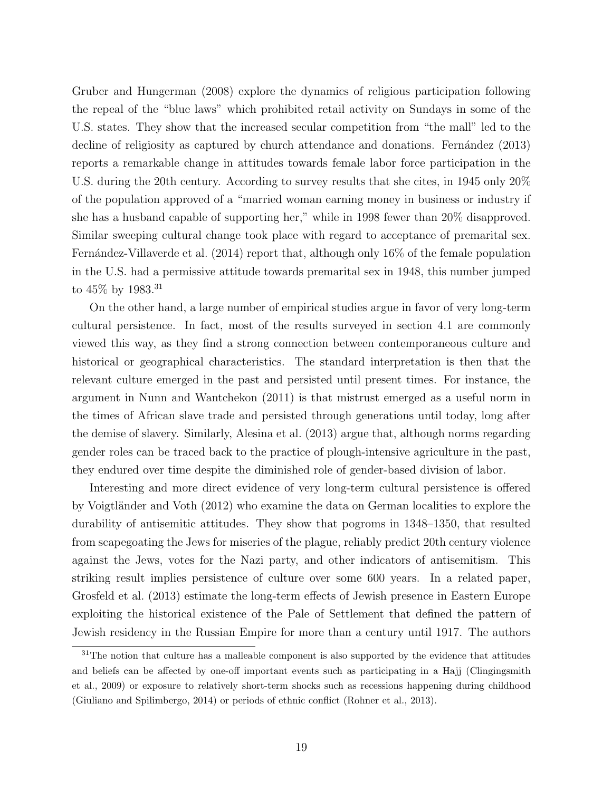Gruber and Hungerman (2008) explore the dynamics of religious participation following the repeal of the "blue laws" which prohibited retail activity on Sundays in some of the U.S. states. They show that the increased secular competition from "the mall" led to the decline of religiosity as captured by church attendance and donations. Fernández (2013) reports a remarkable change in attitudes towards female labor force participation in the U.S. during the 20th century. According to survey results that she cites, in 1945 only 20% of the population approved of a "married woman earning money in business or industry if she has a husband capable of supporting her," while in 1998 fewer than 20% disapproved. Similar sweeping cultural change took place with regard to acceptance of premarital sex. Fernández-Villaverde et al. (2014) report that, although only 16% of the female population in the U.S. had a permissive attitude towards premarital sex in 1948, this number jumped to 45\% by 1983.<sup>[31](#page-19-0)</sup>

On the other hand, a large number of empirical studies argue in favor of very long-term cultural persistence. In fact, most of the results surveyed in section [4.1](#page-11-1) are commonly viewed this way, as they find a strong connection between contemporaneous culture and historical or geographical characteristics. The standard interpretation is then that the relevant culture emerged in the past and persisted until present times. For instance, the argument in Nunn and Wantchekon (2011) is that mistrust emerged as a useful norm in the times of African slave trade and persisted through generations until today, long after the demise of slavery. Similarly, Alesina et al. (2013) argue that, although norms regarding gender roles can be traced back to the practice of plough-intensive agriculture in the past, they endured over time despite the diminished role of gender-based division of labor.

Interesting and more direct evidence of very long-term cultural persistence is offered by Voigtländer and Voth (2012) who examine the data on German localities to explore the durability of antisemitic attitudes. They show that pogroms in 1348–1350, that resulted from scapegoating the Jews for miseries of the plague, reliably predict 20th century violence against the Jews, votes for the Nazi party, and other indicators of antisemitism. This striking result implies persistence of culture over some 600 years. In a related paper, Grosfeld et al. (2013) estimate the long-term effects of Jewish presence in Eastern Europe exploiting the historical existence of the Pale of Settlement that defined the pattern of Jewish residency in the Russian Empire for more than a century until 1917. The authors

<span id="page-19-0"></span><sup>&</sup>lt;sup>31</sup>The notion that culture has a malleable component is also supported by the evidence that attitudes and beliefs can be affected by one-off important events such as participating in a Hajj (Clingingsmith et al., 2009) or exposure to relatively short-term shocks such as recessions happening during childhood (Giuliano and Spilimbergo, 2014) or periods of ethnic conflict (Rohner et al., 2013).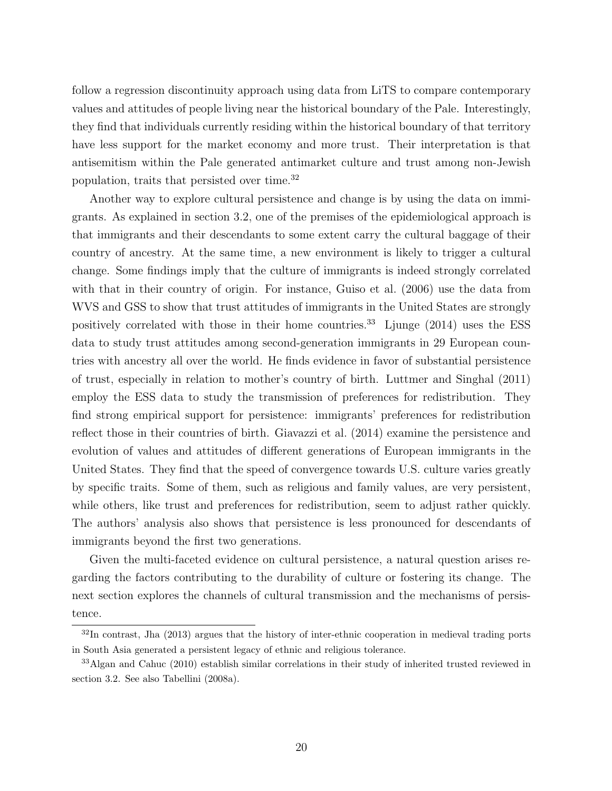follow a regression discontinuity approach using data from LiTS to compare contemporary values and attitudes of people living near the historical boundary of the Pale. Interestingly, they find that individuals currently residing within the historical boundary of that territory have less support for the market economy and more trust. Their interpretation is that antisemitism within the Pale generated antimarket culture and trust among non-Jewish population, traits that persisted over time.[32](#page-20-0)

Another way to explore cultural persistence and change is by using the data on immigrants. As explained in section [3.2,](#page-9-3) one of the premises of the epidemiological approach is that immigrants and their descendants to some extent carry the cultural baggage of their country of ancestry. At the same time, a new environment is likely to trigger a cultural change. Some findings imply that the culture of immigrants is indeed strongly correlated with that in their country of origin. For instance, Guiso et al. (2006) use the data from WVS and GSS to show that trust attitudes of immigrants in the United States are strongly positively correlated with those in their home countries.<sup>[33](#page-20-1)</sup> Ljunge  $(2014)$  uses the ESS data to study trust attitudes among second-generation immigrants in 29 European countries with ancestry all over the world. He finds evidence in favor of substantial persistence of trust, especially in relation to mother's country of birth. Luttmer and Singhal (2011) employ the ESS data to study the transmission of preferences for redistribution. They find strong empirical support for persistence: immigrants' preferences for redistribution reflect those in their countries of birth. Giavazzi et al. (2014) examine the persistence and evolution of values and attitudes of different generations of European immigrants in the United States. They find that the speed of convergence towards U.S. culture varies greatly by specific traits. Some of them, such as religious and family values, are very persistent, while others, like trust and preferences for redistribution, seem to adjust rather quickly. The authors' analysis also shows that persistence is less pronounced for descendants of immigrants beyond the first two generations.

Given the multi-faceted evidence on cultural persistence, a natural question arises regarding the factors contributing to the durability of culture or fostering its change. The next section explores the channels of cultural transmission and the mechanisms of persistence.

<span id="page-20-0"></span><sup>32</sup>In contrast, Jha (2013) argues that the history of inter-ethnic cooperation in medieval trading ports in South Asia generated a persistent legacy of ethnic and religious tolerance.

<span id="page-20-1"></span><sup>33</sup>Algan and Cahuc (2010) establish similar correlations in their study of inherited trusted reviewed in section [3.2.](#page-9-3) See also Tabellini (2008a).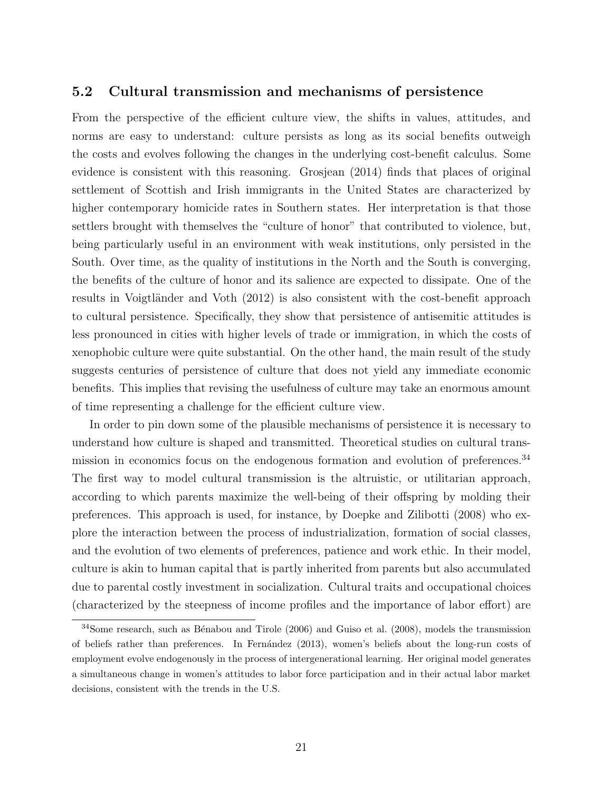#### 5.2 Cultural transmission and mechanisms of persistence

From the perspective of the efficient culture view, the shifts in values, attitudes, and norms are easy to understand: culture persists as long as its social benefits outweigh the costs and evolves following the changes in the underlying cost-benefit calculus. Some evidence is consistent with this reasoning. Grosjean (2014) finds that places of original settlement of Scottish and Irish immigrants in the United States are characterized by higher contemporary homicide rates in Southern states. Her interpretation is that those settlers brought with themselves the "culture of honor" that contributed to violence, but, being particularly useful in an environment with weak institutions, only persisted in the South. Over time, as the quality of institutions in the North and the South is converging, the benefits of the culture of honor and its salience are expected to dissipate. One of the results in Voigtländer and Voth (2012) is also consistent with the cost-benefit approach to cultural persistence. Specifically, they show that persistence of antisemitic attitudes is less pronounced in cities with higher levels of trade or immigration, in which the costs of xenophobic culture were quite substantial. On the other hand, the main result of the study suggests centuries of persistence of culture that does not yield any immediate economic benefits. This implies that revising the usefulness of culture may take an enormous amount of time representing a challenge for the efficient culture view.

In order to pin down some of the plausible mechanisms of persistence it is necessary to understand how culture is shaped and transmitted. Theoretical studies on cultural trans-mission in economics focus on the endogenous formation and evolution of preferences.<sup>[34](#page-21-0)</sup> The first way to model cultural transmission is the altruistic, or utilitarian approach, according to which parents maximize the well-being of their offspring by molding their preferences. This approach is used, for instance, by Doepke and Zilibotti (2008) who explore the interaction between the process of industrialization, formation of social classes, and the evolution of two elements of preferences, patience and work ethic. In their model, culture is akin to human capital that is partly inherited from parents but also accumulated due to parental costly investment in socialization. Cultural traits and occupational choices (characterized by the steepness of income profiles and the importance of labor effort) are

<span id="page-21-0"></span> $34$ Some research, such as Bénabou and Tirole (2006) and Guiso et al. (2008), models the transmission of beliefs rather than preferences. In Fernández (2013), women's beliefs about the long-run costs of employment evolve endogenously in the process of intergenerational learning. Her original model generates a simultaneous change in women's attitudes to labor force participation and in their actual labor market decisions, consistent with the trends in the U.S.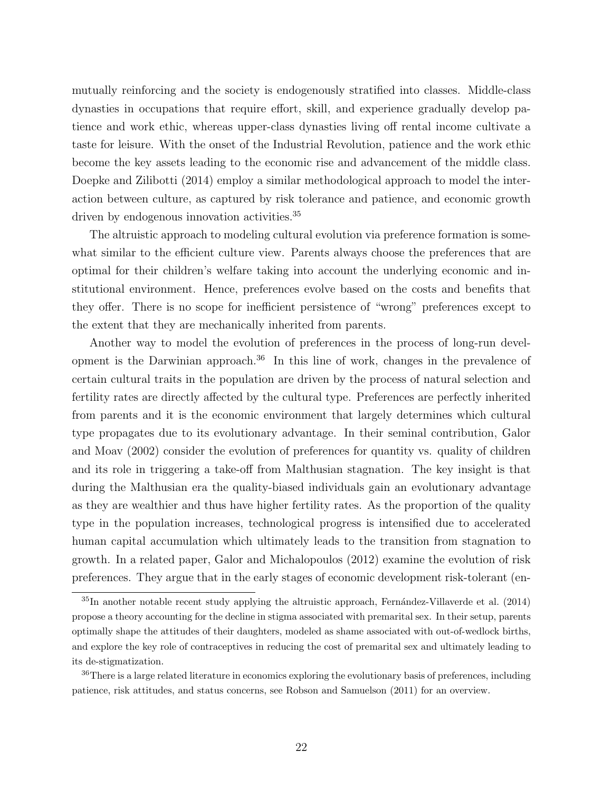mutually reinforcing and the society is endogenously stratified into classes. Middle-class dynasties in occupations that require effort, skill, and experience gradually develop patience and work ethic, whereas upper-class dynasties living off rental income cultivate a taste for leisure. With the onset of the Industrial Revolution, patience and the work ethic become the key assets leading to the economic rise and advancement of the middle class. Doepke and Zilibotti (2014) employ a similar methodological approach to model the interaction between culture, as captured by risk tolerance and patience, and economic growth driven by endogenous innovation activities.<sup>[35](#page-22-0)</sup>

The altruistic approach to modeling cultural evolution via preference formation is somewhat similar to the efficient culture view. Parents always choose the preferences that are optimal for their children's welfare taking into account the underlying economic and institutional environment. Hence, preferences evolve based on the costs and benefits that they offer. There is no scope for inefficient persistence of "wrong" preferences except to the extent that they are mechanically inherited from parents.

Another way to model the evolution of preferences in the process of long-run development is the Darwinian approach.[36](#page-22-1) In this line of work, changes in the prevalence of certain cultural traits in the population are driven by the process of natural selection and fertility rates are directly affected by the cultural type. Preferences are perfectly inherited from parents and it is the economic environment that largely determines which cultural type propagates due to its evolutionary advantage. In their seminal contribution, Galor and Moav (2002) consider the evolution of preferences for quantity vs. quality of children and its role in triggering a take-off from Malthusian stagnation. The key insight is that during the Malthusian era the quality-biased individuals gain an evolutionary advantage as they are wealthier and thus have higher fertility rates. As the proportion of the quality type in the population increases, technological progress is intensified due to accelerated human capital accumulation which ultimately leads to the transition from stagnation to growth. In a related paper, Galor and Michalopoulos (2012) examine the evolution of risk preferences. They argue that in the early stages of economic development risk-tolerant (en-

<span id="page-22-0"></span> $35$ In another notable recent study applying the altruistic approach, Fernández-Villaverde et al. (2014) propose a theory accounting for the decline in stigma associated with premarital sex. In their setup, parents optimally shape the attitudes of their daughters, modeled as shame associated with out-of-wedlock births, and explore the key role of contraceptives in reducing the cost of premarital sex and ultimately leading to its de-stigmatization.

<span id="page-22-1"></span><sup>&</sup>lt;sup>36</sup>There is a large related literature in economics exploring the evolutionary basis of preferences, including patience, risk attitudes, and status concerns, see Robson and Samuelson (2011) for an overview.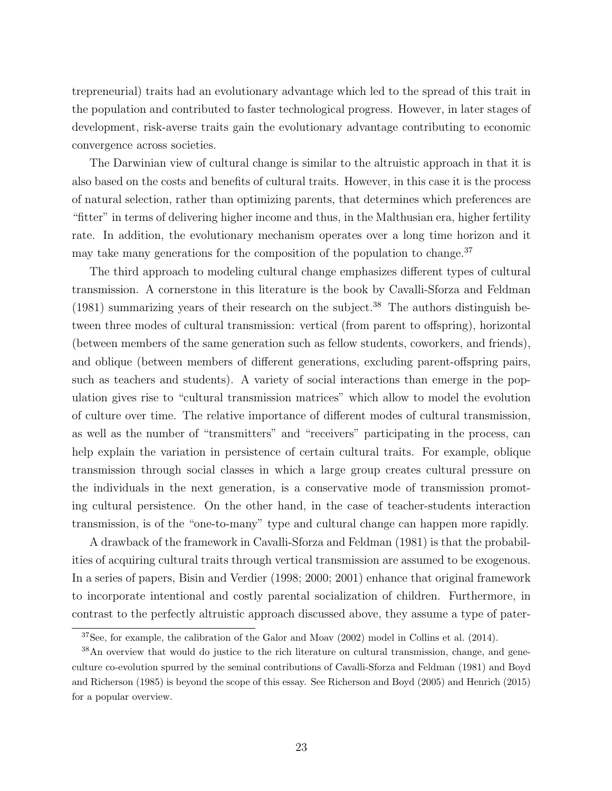trepreneurial) traits had an evolutionary advantage which led to the spread of this trait in the population and contributed to faster technological progress. However, in later stages of development, risk-averse traits gain the evolutionary advantage contributing to economic convergence across societies.

The Darwinian view of cultural change is similar to the altruistic approach in that it is also based on the costs and benefits of cultural traits. However, in this case it is the process of natural selection, rather than optimizing parents, that determines which preferences are "fitter" in terms of delivering higher income and thus, in the Malthusian era, higher fertility rate. In addition, the evolutionary mechanism operates over a long time horizon and it may take many generations for the composition of the population to change.<sup>[37](#page-23-0)</sup>

The third approach to modeling cultural change emphasizes different types of cultural transmission. A cornerstone in this literature is the book by Cavalli-Sforza and Feldman  $(1981)$  summarizing years of their research on the subject.<sup>[38](#page-23-1)</sup> The authors distinguish between three modes of cultural transmission: vertical (from parent to offspring), horizontal (between members of the same generation such as fellow students, coworkers, and friends), and oblique (between members of different generations, excluding parent-offspring pairs, such as teachers and students). A variety of social interactions than emerge in the population gives rise to "cultural transmission matrices" which allow to model the evolution of culture over time. The relative importance of different modes of cultural transmission, as well as the number of "transmitters" and "receivers" participating in the process, can help explain the variation in persistence of certain cultural traits. For example, oblique transmission through social classes in which a large group creates cultural pressure on the individuals in the next generation, is a conservative mode of transmission promoting cultural persistence. On the other hand, in the case of teacher-students interaction transmission, is of the "one-to-many" type and cultural change can happen more rapidly.

A drawback of the framework in Cavalli-Sforza and Feldman (1981) is that the probabilities of acquiring cultural traits through vertical transmission are assumed to be exogenous. In a series of papers, Bisin and Verdier (1998; 2000; 2001) enhance that original framework to incorporate intentional and costly parental socialization of children. Furthermore, in contrast to the perfectly altruistic approach discussed above, they assume a type of pater-

<span id="page-23-1"></span><span id="page-23-0"></span><sup>37</sup>See, for example, the calibration of the Galor and Moav (2002) model in Collins et al. (2014).

<sup>38</sup>An overview that would do justice to the rich literature on cultural transmission, change, and geneculture co-evolution spurred by the seminal contributions of Cavalli-Sforza and Feldman (1981) and Boyd and Richerson (1985) is beyond the scope of this essay. See Richerson and Boyd (2005) and Henrich (2015) for a popular overview.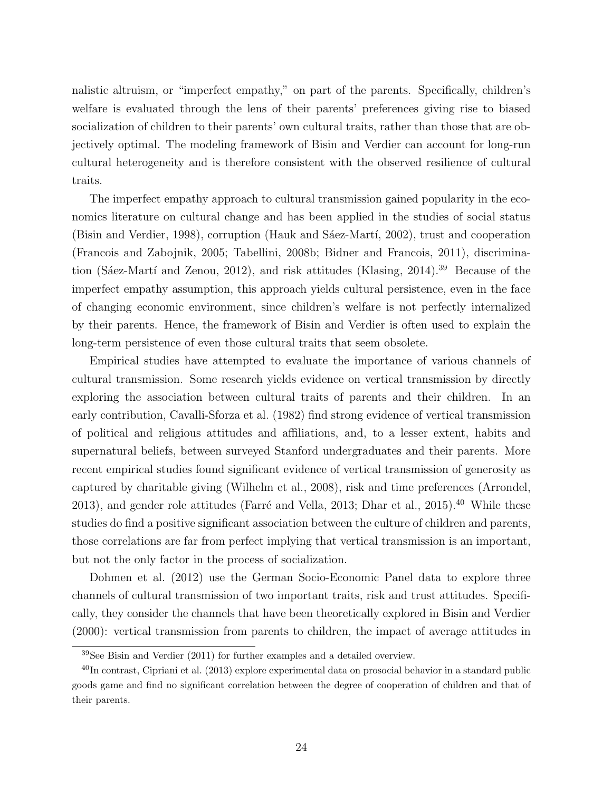nalistic altruism, or "imperfect empathy," on part of the parents. Specifically, children's welfare is evaluated through the lens of their parents' preferences giving rise to biased socialization of children to their parents' own cultural traits, rather than those that are objectively optimal. The modeling framework of Bisin and Verdier can account for long-run cultural heterogeneity and is therefore consistent with the observed resilience of cultural traits.

The imperfect empathy approach to cultural transmission gained popularity in the economics literature on cultural change and has been applied in the studies of social status (Bisin and Verdier, 1998), corruption (Hauk and Sáez-Martí, 2002), trust and cooperation (Francois and Zabojnik, 2005; Tabellini, 2008b; Bidner and Francois, 2011), discrimina-tion (Sáez-Martí and Zenou, 2012), and risk attitudes (Klasing, 2014).<sup>[39](#page-24-0)</sup> Because of the imperfect empathy assumption, this approach yields cultural persistence, even in the face of changing economic environment, since children's welfare is not perfectly internalized by their parents. Hence, the framework of Bisin and Verdier is often used to explain the long-term persistence of even those cultural traits that seem obsolete.

Empirical studies have attempted to evaluate the importance of various channels of cultural transmission. Some research yields evidence on vertical transmission by directly exploring the association between cultural traits of parents and their children. In an early contribution, Cavalli-Sforza et al. (1982) find strong evidence of vertical transmission of political and religious attitudes and affiliations, and, to a lesser extent, habits and supernatural beliefs, between surveyed Stanford undergraduates and their parents. More recent empirical studies found significant evidence of vertical transmission of generosity as captured by charitable giving (Wilhelm et al., 2008), risk and time preferences (Arrondel, 2013), and gender role attitudes (Farré and Vella, 2013; Dhar et al., 2015).<sup>[40](#page-24-1)</sup> While these studies do find a positive significant association between the culture of children and parents, those correlations are far from perfect implying that vertical transmission is an important, but not the only factor in the process of socialization.

Dohmen et al. (2012) use the German Socio-Economic Panel data to explore three channels of cultural transmission of two important traits, risk and trust attitudes. Specifically, they consider the channels that have been theoretically explored in Bisin and Verdier (2000): vertical transmission from parents to children, the impact of average attitudes in

<span id="page-24-1"></span><span id="page-24-0"></span><sup>39</sup>See Bisin and Verdier (2011) for further examples and a detailed overview.

 $^{40}$ In contrast, Cipriani et al. (2013) explore experimental data on prosocial behavior in a standard public goods game and find no significant correlation between the degree of cooperation of children and that of their parents.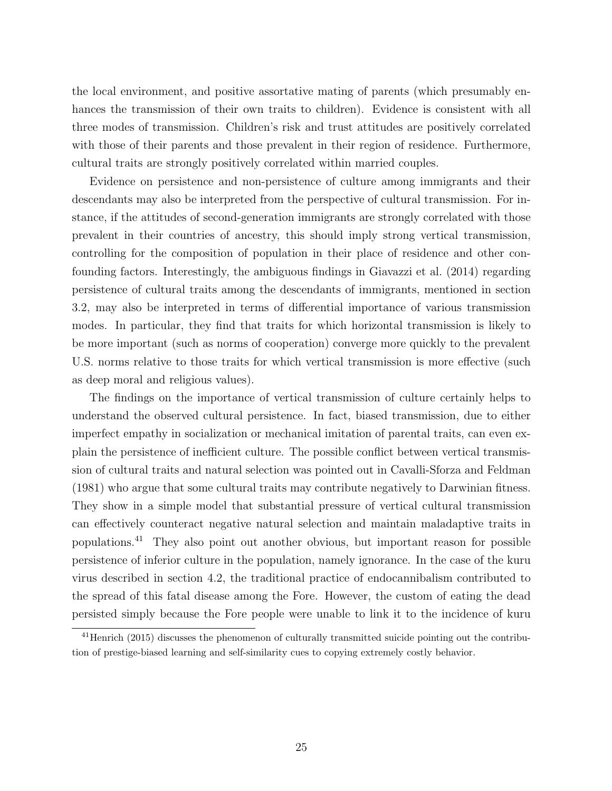the local environment, and positive assortative mating of parents (which presumably enhances the transmission of their own traits to children). Evidence is consistent with all three modes of transmission. Children's risk and trust attitudes are positively correlated with those of their parents and those prevalent in their region of residence. Furthermore, cultural traits are strongly positively correlated within married couples.

Evidence on persistence and non-persistence of culture among immigrants and their descendants may also be interpreted from the perspective of cultural transmission. For instance, if the attitudes of second-generation immigrants are strongly correlated with those prevalent in their countries of ancestry, this should imply strong vertical transmission, controlling for the composition of population in their place of residence and other confounding factors. Interestingly, the ambiguous findings in Giavazzi et al. (2014) regarding persistence of cultural traits among the descendants of immigrants, mentioned in section [3.2,](#page-9-3) may also be interpreted in terms of differential importance of various transmission modes. In particular, they find that traits for which horizontal transmission is likely to be more important (such as norms of cooperation) converge more quickly to the prevalent U.S. norms relative to those traits for which vertical transmission is more effective (such as deep moral and religious values).

The findings on the importance of vertical transmission of culture certainly helps to understand the observed cultural persistence. In fact, biased transmission, due to either imperfect empathy in socialization or mechanical imitation of parental traits, can even explain the persistence of inefficient culture. The possible conflict between vertical transmission of cultural traits and natural selection was pointed out in Cavalli-Sforza and Feldman (1981) who argue that some cultural traits may contribute negatively to Darwinian fitness. They show in a simple model that substantial pressure of vertical cultural transmission can effectively counteract negative natural selection and maintain maladaptive traits in populations.[41](#page-25-0) They also point out another obvious, but important reason for possible persistence of inferior culture in the population, namely ignorance. In the case of the kuru virus described in section [4.2,](#page-15-1) the traditional practice of endocannibalism contributed to the spread of this fatal disease among the Fore. However, the custom of eating the dead persisted simply because the Fore people were unable to link it to the incidence of kuru

<span id="page-25-0"></span><sup>41</sup>Henrich (2015) discusses the phenomenon of culturally transmitted suicide pointing out the contribution of prestige-biased learning and self-similarity cues to copying extremely costly behavior.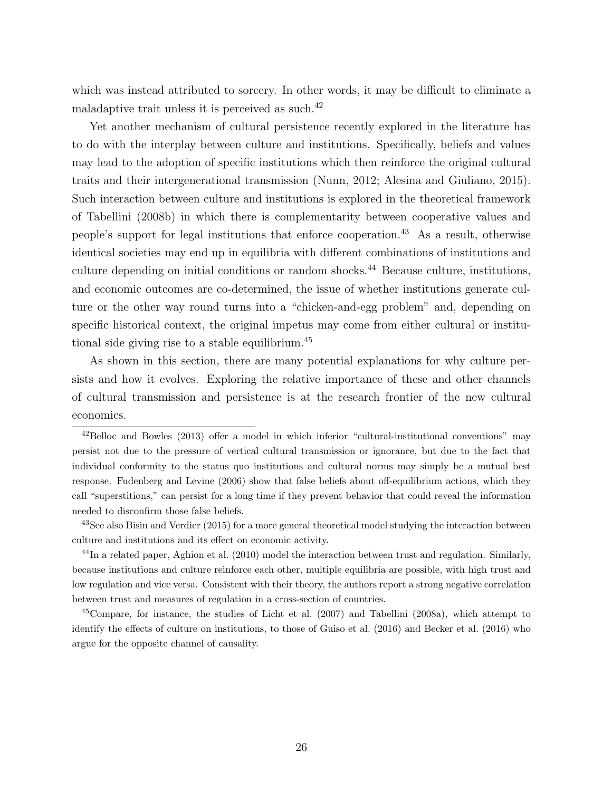which was instead attributed to sorcery. In other words, it may be difficult to eliminate a maladaptive trait unless it is perceived as such.[42](#page-26-0)

Yet another mechanism of cultural persistence recently explored in the literature has to do with the interplay between culture and institutions. Specifically, beliefs and values may lead to the adoption of specific institutions which then reinforce the original cultural traits and their intergenerational transmission (Nunn, 2012; Alesina and Giuliano, 2015). Such interaction between culture and institutions is explored in the theoretical framework of Tabellini (2008b) in which there is complementarity between cooperative values and people's support for legal institutions that enforce cooperation.[43](#page-26-1) As a result, otherwise identical societies may end up in equilibria with different combinations of institutions and culture depending on initial conditions or random shocks.<sup>[44](#page-26-2)</sup> Because culture, institutions, and economic outcomes are co-determined, the issue of whether institutions generate culture or the other way round turns into a "chicken-and-egg problem" and, depending on specific historical context, the original impetus may come from either cultural or institutional side giving rise to a stable equilibrium.[45](#page-26-3)

As shown in this section, there are many potential explanations for why culture persists and how it evolves. Exploring the relative importance of these and other channels of cultural transmission and persistence is at the research frontier of the new cultural economics.

<span id="page-26-1"></span><sup>43</sup>See also Bisin and Verdier (2015) for a more general theoretical model studying the interaction between culture and institutions and its effect on economic activity.

<span id="page-26-2"></span> $^{44}$ In a related paper, Aghion et al. (2010) model the interaction between trust and regulation. Similarly, because institutions and culture reinforce each other, multiple equilibria are possible, with high trust and low regulation and vice versa. Consistent with their theory, the authors report a strong negative correlation between trust and measures of regulation in a cross-section of countries.

<span id="page-26-3"></span> $^{45}$ Compare, for instance, the studies of Licht et al. (2007) and Tabellini (2008a), which attempt to identify the effects of culture on institutions, to those of Guiso et al. (2016) and Becker et al. (2016) who argue for the opposite channel of causality.

<span id="page-26-0"></span> $^{42}$ Belloc and Bowles (2013) offer a model in which inferior "cultural-institutional conventions" may persist not due to the pressure of vertical cultural transmission or ignorance, but due to the fact that individual conformity to the status quo institutions and cultural norms may simply be a mutual best response. Fudenberg and Levine (2006) show that false beliefs about off-equilibrium actions, which they call "superstitions," can persist for a long time if they prevent behavior that could reveal the information needed to disconfirm those false beliefs.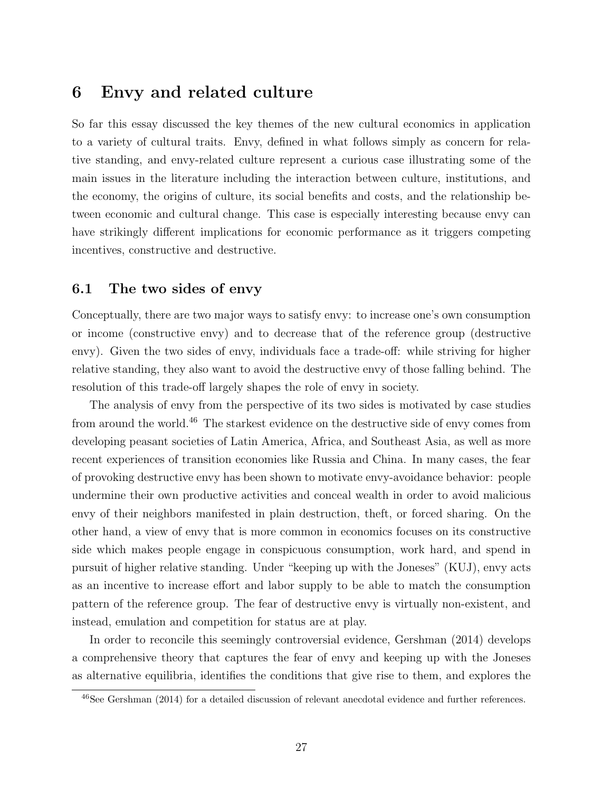## <span id="page-27-0"></span>6 Envy and related culture

So far this essay discussed the key themes of the new cultural economics in application to a variety of cultural traits. Envy, defined in what follows simply as concern for relative standing, and envy-related culture represent a curious case illustrating some of the main issues in the literature including the interaction between culture, institutions, and the economy, the origins of culture, its social benefits and costs, and the relationship between economic and cultural change. This case is especially interesting because envy can have strikingly different implications for economic performance as it triggers competing incentives, constructive and destructive.

#### 6.1 The two sides of envy

Conceptually, there are two major ways to satisfy envy: to increase one's own consumption or income (constructive envy) and to decrease that of the reference group (destructive envy). Given the two sides of envy, individuals face a trade-off: while striving for higher relative standing, they also want to avoid the destructive envy of those falling behind. The resolution of this trade-off largely shapes the role of envy in society.

The analysis of envy from the perspective of its two sides is motivated by case studies from around the world.[46](#page-27-1) The starkest evidence on the destructive side of envy comes from developing peasant societies of Latin America, Africa, and Southeast Asia, as well as more recent experiences of transition economies like Russia and China. In many cases, the fear of provoking destructive envy has been shown to motivate envy-avoidance behavior: people undermine their own productive activities and conceal wealth in order to avoid malicious envy of their neighbors manifested in plain destruction, theft, or forced sharing. On the other hand, a view of envy that is more common in economics focuses on its constructive side which makes people engage in conspicuous consumption, work hard, and spend in pursuit of higher relative standing. Under "keeping up with the Joneses" (KUJ), envy acts as an incentive to increase effort and labor supply to be able to match the consumption pattern of the reference group. The fear of destructive envy is virtually non-existent, and instead, emulation and competition for status are at play.

In order to reconcile this seemingly controversial evidence, Gershman (2014) develops a comprehensive theory that captures the fear of envy and keeping up with the Joneses as alternative equilibria, identifies the conditions that give rise to them, and explores the

<span id="page-27-1"></span><sup>46</sup>See Gershman (2014) for a detailed discussion of relevant anecdotal evidence and further references.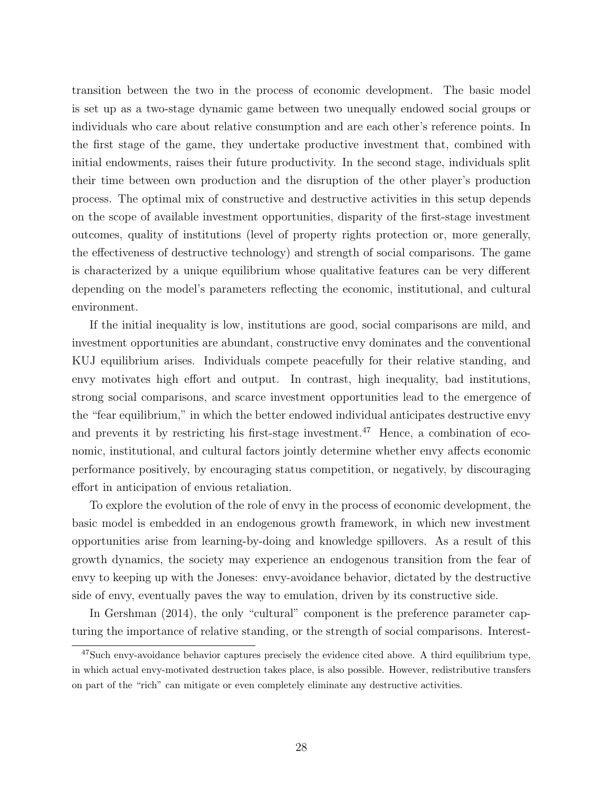transition between the two in the process of economic development. The basic model is set up as a two-stage dynamic game between two unequally endowed social groups or individuals who care about relative consumption and are each other's reference points. In the first stage of the game, they undertake productive investment that, combined with initial endowments, raises their future productivity. In the second stage, individuals split their time between own production and the disruption of the other player's production process. The optimal mix of constructive and destructive activities in this setup depends on the scope of available investment opportunities, disparity of the first-stage investment outcomes, quality of institutions (level of property rights protection or, more generally, the effectiveness of destructive technology) and strength of social comparisons. The game is characterized by a unique equilibrium whose qualitative features can be very different depending on the model's parameters reflecting the economic, institutional, and cultural environment.

If the initial inequality is low, institutions are good, social comparisons are mild, and investment opportunities are abundant, constructive envy dominates and the conventional KUJ equilibrium arises. Individuals compete peacefully for their relative standing, and envy motivates high effort and output. In contrast, high inequality, bad institutions, strong social comparisons, and scarce investment opportunities lead to the emergence of the "fear equilibrium," in which the better endowed individual anticipates destructive envy and prevents it by restricting his first-stage investment.<sup>[47](#page-28-0)</sup> Hence, a combination of economic, institutional, and cultural factors jointly determine whether envy affects economic performance positively, by encouraging status competition, or negatively, by discouraging effort in anticipation of envious retaliation.

To explore the evolution of the role of envy in the process of economic development, the basic model is embedded in an endogenous growth framework, in which new investment opportunities arise from learning-by-doing and knowledge spillovers. As a result of this growth dynamics, the society may experience an endogenous transition from the fear of envy to keeping up with the Joneses: envy-avoidance behavior, dictated by the destructive side of envy, eventually paves the way to emulation, driven by its constructive side.

In Gershman (2014), the only "cultural" component is the preference parameter capturing the importance of relative standing, or the strength of social comparisons. Interest-

<span id="page-28-0"></span><sup>&</sup>lt;sup>47</sup>Such envy-avoidance behavior captures precisely the evidence cited above. A third equilibrium type, in which actual envy-motivated destruction takes place, is also possible. However, redistributive transfers on part of the "rich" can mitigate or even completely eliminate any destructive activities.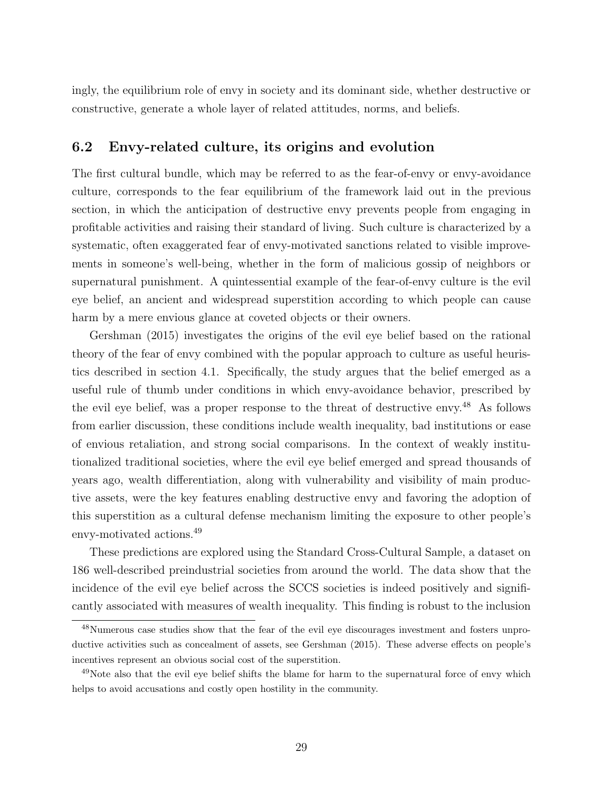ingly, the equilibrium role of envy in society and its dominant side, whether destructive or constructive, generate a whole layer of related attitudes, norms, and beliefs.

#### 6.2 Envy-related culture, its origins and evolution

The first cultural bundle, which may be referred to as the fear-of-envy or envy-avoidance culture, corresponds to the fear equilibrium of the framework laid out in the previous section, in which the anticipation of destructive envy prevents people from engaging in profitable activities and raising their standard of living. Such culture is characterized by a systematic, often exaggerated fear of envy-motivated sanctions related to visible improvements in someone's well-being, whether in the form of malicious gossip of neighbors or supernatural punishment. A quintessential example of the fear-of-envy culture is the evil eye belief, an ancient and widespread superstition according to which people can cause harm by a mere envious glance at coveted objects or their owners.

Gershman (2015) investigates the origins of the evil eye belief based on the rational theory of the fear of envy combined with the popular approach to culture as useful heuristics described in section [4.1.](#page-11-1) Specifically, the study argues that the belief emerged as a useful rule of thumb under conditions in which envy-avoidance behavior, prescribed by the evil eye belief, was a proper response to the threat of destructive envy.[48](#page-29-0) As follows from earlier discussion, these conditions include wealth inequality, bad institutions or ease of envious retaliation, and strong social comparisons. In the context of weakly institutionalized traditional societies, where the evil eye belief emerged and spread thousands of years ago, wealth differentiation, along with vulnerability and visibility of main productive assets, were the key features enabling destructive envy and favoring the adoption of this superstition as a cultural defense mechanism limiting the exposure to other people's envy-motivated actions.[49](#page-29-1)

These predictions are explored using the Standard Cross-Cultural Sample, a dataset on 186 well-described preindustrial societies from around the world. The data show that the incidence of the evil eye belief across the SCCS societies is indeed positively and significantly associated with measures of wealth inequality. This finding is robust to the inclusion

<span id="page-29-0"></span><sup>48</sup>Numerous case studies show that the fear of the evil eye discourages investment and fosters unproductive activities such as concealment of assets, see Gershman (2015). These adverse effects on people's incentives represent an obvious social cost of the superstition.

<span id="page-29-1"></span><sup>&</sup>lt;sup>49</sup>Note also that the evil eye belief shifts the blame for harm to the supernatural force of envy which helps to avoid accusations and costly open hostility in the community.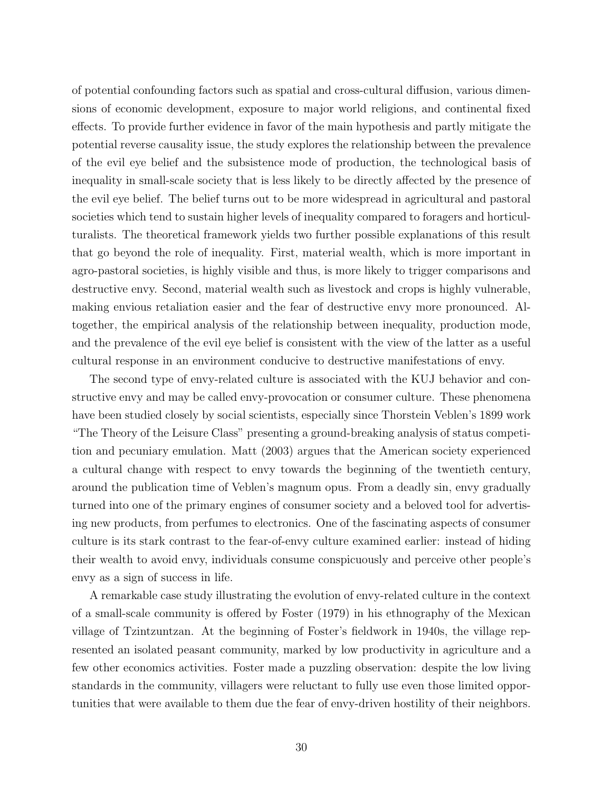of potential confounding factors such as spatial and cross-cultural diffusion, various dimensions of economic development, exposure to major world religions, and continental fixed effects. To provide further evidence in favor of the main hypothesis and partly mitigate the potential reverse causality issue, the study explores the relationship between the prevalence of the evil eye belief and the subsistence mode of production, the technological basis of inequality in small-scale society that is less likely to be directly affected by the presence of the evil eye belief. The belief turns out to be more widespread in agricultural and pastoral societies which tend to sustain higher levels of inequality compared to foragers and horticulturalists. The theoretical framework yields two further possible explanations of this result that go beyond the role of inequality. First, material wealth, which is more important in agro-pastoral societies, is highly visible and thus, is more likely to trigger comparisons and destructive envy. Second, material wealth such as livestock and crops is highly vulnerable, making envious retaliation easier and the fear of destructive envy more pronounced. Altogether, the empirical analysis of the relationship between inequality, production mode, and the prevalence of the evil eye belief is consistent with the view of the latter as a useful cultural response in an environment conducive to destructive manifestations of envy.

The second type of envy-related culture is associated with the KUJ behavior and constructive envy and may be called envy-provocation or consumer culture. These phenomena have been studied closely by social scientists, especially since Thorstein Veblen's 1899 work "The Theory of the Leisure Class" presenting a ground-breaking analysis of status competition and pecuniary emulation. Matt (2003) argues that the American society experienced a cultural change with respect to envy towards the beginning of the twentieth century, around the publication time of Veblen's magnum opus. From a deadly sin, envy gradually turned into one of the primary engines of consumer society and a beloved tool for advertising new products, from perfumes to electronics. One of the fascinating aspects of consumer culture is its stark contrast to the fear-of-envy culture examined earlier: instead of hiding their wealth to avoid envy, individuals consume conspicuously and perceive other people's envy as a sign of success in life.

A remarkable case study illustrating the evolution of envy-related culture in the context of a small-scale community is offered by Foster (1979) in his ethnography of the Mexican village of Tzintzuntzan. At the beginning of Foster's fieldwork in 1940s, the village represented an isolated peasant community, marked by low productivity in agriculture and a few other economics activities. Foster made a puzzling observation: despite the low living standards in the community, villagers were reluctant to fully use even those limited opportunities that were available to them due the fear of envy-driven hostility of their neighbors.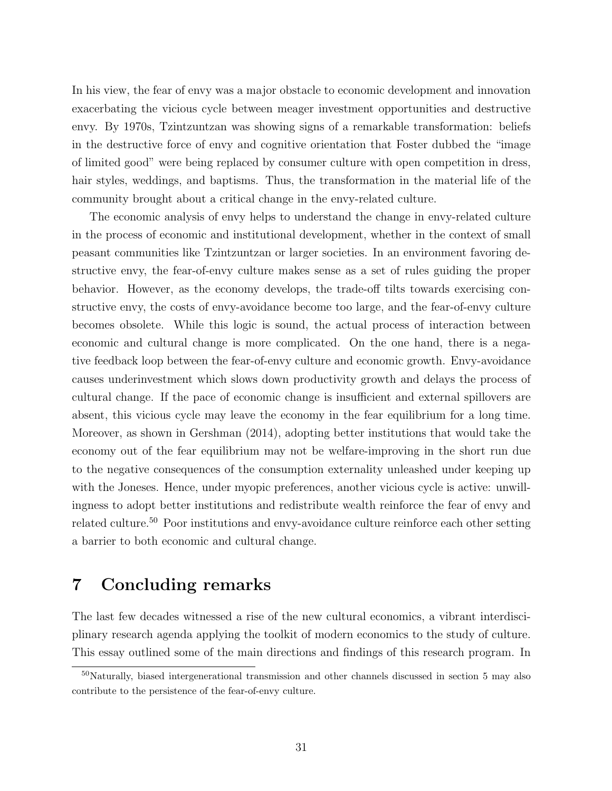In his view, the fear of envy was a major obstacle to economic development and innovation exacerbating the vicious cycle between meager investment opportunities and destructive envy. By 1970s, Tzintzuntzan was showing signs of a remarkable transformation: beliefs in the destructive force of envy and cognitive orientation that Foster dubbed the "image of limited good" were being replaced by consumer culture with open competition in dress, hair styles, weddings, and baptisms. Thus, the transformation in the material life of the community brought about a critical change in the envy-related culture.

The economic analysis of envy helps to understand the change in envy-related culture in the process of economic and institutional development, whether in the context of small peasant communities like Tzintzuntzan or larger societies. In an environment favoring destructive envy, the fear-of-envy culture makes sense as a set of rules guiding the proper behavior. However, as the economy develops, the trade-off tilts towards exercising constructive envy, the costs of envy-avoidance become too large, and the fear-of-envy culture becomes obsolete. While this logic is sound, the actual process of interaction between economic and cultural change is more complicated. On the one hand, there is a negative feedback loop between the fear-of-envy culture and economic growth. Envy-avoidance causes underinvestment which slows down productivity growth and delays the process of cultural change. If the pace of economic change is insufficient and external spillovers are absent, this vicious cycle may leave the economy in the fear equilibrium for a long time. Moreover, as shown in Gershman (2014), adopting better institutions that would take the economy out of the fear equilibrium may not be welfare-improving in the short run due to the negative consequences of the consumption externality unleashed under keeping up with the Joneses. Hence, under myopic preferences, another vicious cycle is active: unwillingness to adopt better institutions and redistribute wealth reinforce the fear of envy and related culture.<sup>[50](#page-31-1)</sup> Poor institutions and envy-avoidance culture reinforce each other setting a barrier to both economic and cultural change.

## <span id="page-31-0"></span>7 Concluding remarks

The last few decades witnessed a rise of the new cultural economics, a vibrant interdisciplinary research agenda applying the toolkit of modern economics to the study of culture. This essay outlined some of the main directions and findings of this research program. In

<span id="page-31-1"></span><sup>50</sup>Naturally, biased intergenerational transmission and other channels discussed in section [5](#page-18-2) may also contribute to the persistence of the fear-of-envy culture.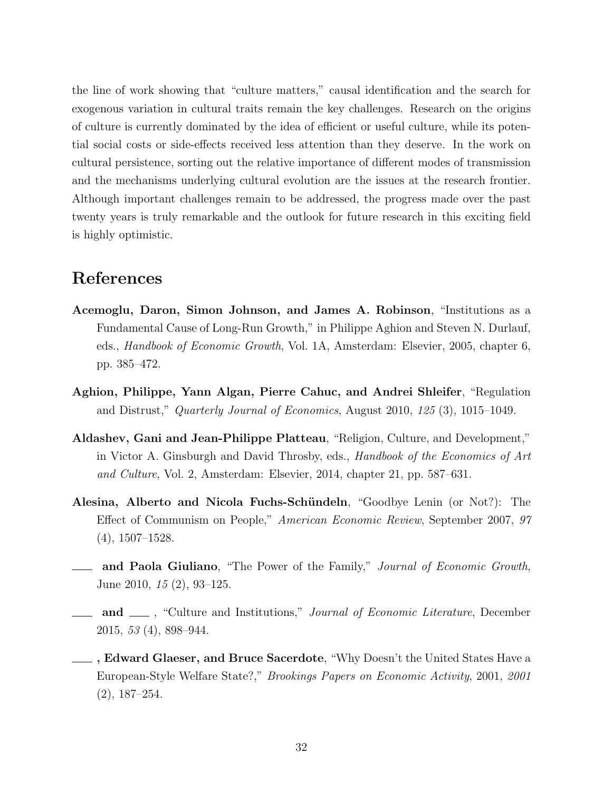the line of work showing that "culture matters," causal identification and the search for exogenous variation in cultural traits remain the key challenges. Research on the origins of culture is currently dominated by the idea of efficient or useful culture, while its potential social costs or side-effects received less attention than they deserve. In the work on cultural persistence, sorting out the relative importance of different modes of transmission and the mechanisms underlying cultural evolution are the issues at the research frontier. Although important challenges remain to be addressed, the progress made over the past twenty years is truly remarkable and the outlook for future research in this exciting field is highly optimistic.

## References

- Acemoglu, Daron, Simon Johnson, and James A. Robinson, "Institutions as a Fundamental Cause of Long-Run Growth," in Philippe Aghion and Steven N. Durlauf, eds., Handbook of Economic Growth, Vol. 1A, Amsterdam: Elsevier, 2005, chapter 6, pp. 385–472.
- Aghion, Philippe, Yann Algan, Pierre Cahuc, and Andrei Shleifer, "Regulation and Distrust," Quarterly Journal of Economics, August 2010, 125 (3), 1015–1049.
- Aldashev, Gani and Jean-Philippe Platteau, "Religion, Culture, and Development," in Victor A. Ginsburgh and David Throsby, eds., Handbook of the Economics of Art and Culture, Vol. 2, Amsterdam: Elsevier, 2014, chapter 21, pp. 587–631.
- Alesina, Alberto and Nicola Fuchs-Schündeln, "Goodbye Lenin (or Not?): The Effect of Communism on People," American Economic Review, September 2007, 97 (4), 1507–1528.
- and Paola Giuliano, "The Power of the Family," Journal of Economic Growth, June 2010, 15 (2), 93–125.
- **and** , "Culture and Institutions," *Journal of Economic Literature*, December 2015, 53 (4), 898–944.
- **LEGE**, Edward Glaeser, and Bruce Sacerdote, "Why Doesn't the United States Have a European-Style Welfare State?," Brookings Papers on Economic Activity, 2001, 2001 (2), 187–254.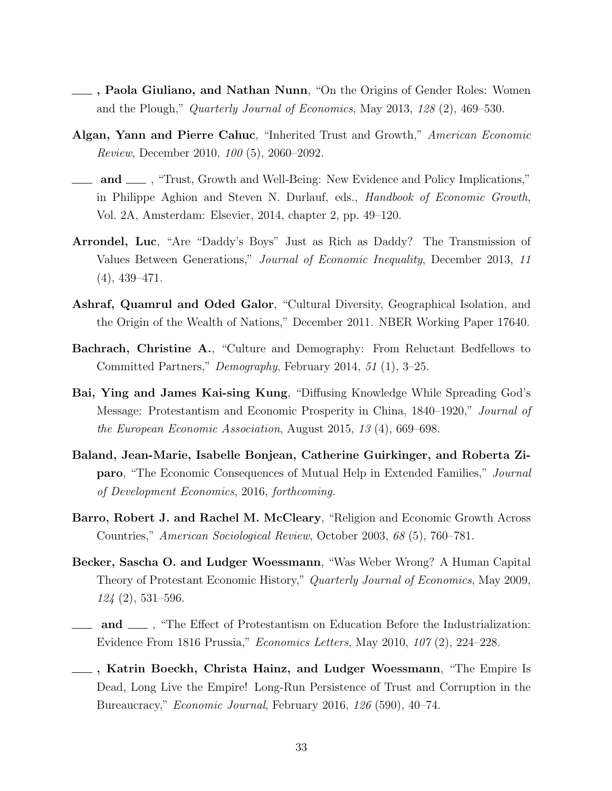- , Paola Giuliano, and Nathan Nunn, "On the Origins of Gender Roles: Women and the Plough," Quarterly Journal of Economics, May 2013, 128 (2), 469–530.
- Algan, Yann and Pierre Cahuc, "Inherited Trust and Growth," American Economic Review, December 2010, 100 (5), 2060–2092.
- **and** , "Trust, Growth and Well-Being: New Evidence and Policy Implications," in Philippe Aghion and Steven N. Durlauf, eds., Handbook of Economic Growth, Vol. 2A, Amsterdam: Elsevier, 2014, chapter 2, pp. 49–120.
- Arrondel, Luc, "Are "Daddy's Boys" Just as Rich as Daddy? The Transmission of Values Between Generations," Journal of Economic Inequality, December 2013, 11 (4), 439–471.
- Ashraf, Quamrul and Oded Galor, "Cultural Diversity, Geographical Isolation, and the Origin of the Wealth of Nations," December 2011. NBER Working Paper 17640.
- Bachrach, Christine A., "Culture and Demography: From Reluctant Bedfellows to Committed Partners," Demography, February 2014, 51 (1), 3–25.
- Bai, Ying and James Kai-sing Kung, "Diffusing Knowledge While Spreading God's Message: Protestantism and Economic Prosperity in China, 1840–1920," Journal of the European Economic Association, August 2015, 13 (4), 669–698.
- Baland, Jean-Marie, Isabelle Bonjean, Catherine Guirkinger, and Roberta Ziparo, "The Economic Consequences of Mutual Help in Extended Families," Journal of Development Economics, 2016, forthcoming.
- Barro, Robert J. and Rachel M. McCleary, "Religion and Economic Growth Across Countries," American Sociological Review, October 2003, 68 (5), 760–781.
- Becker, Sascha O. and Ludger Woessmann, "Was Weber Wrong? A Human Capital Theory of Protestant Economic History," Quarterly Journal of Economics, May 2009, 124 (2), 531–596.
- **and**  $\Box$ , "The Effect of Protestantism on Education Before the Industrialization: Evidence From 1816 Prussia," Economics Letters, May 2010, 107 (2), 224–228.
- , Katrin Boeckh, Christa Hainz, and Ludger Woessmann, "The Empire Is Dead, Long Live the Empire! Long-Run Persistence of Trust and Corruption in the Bureaucracy," Economic Journal, February 2016, 126 (590), 40–74.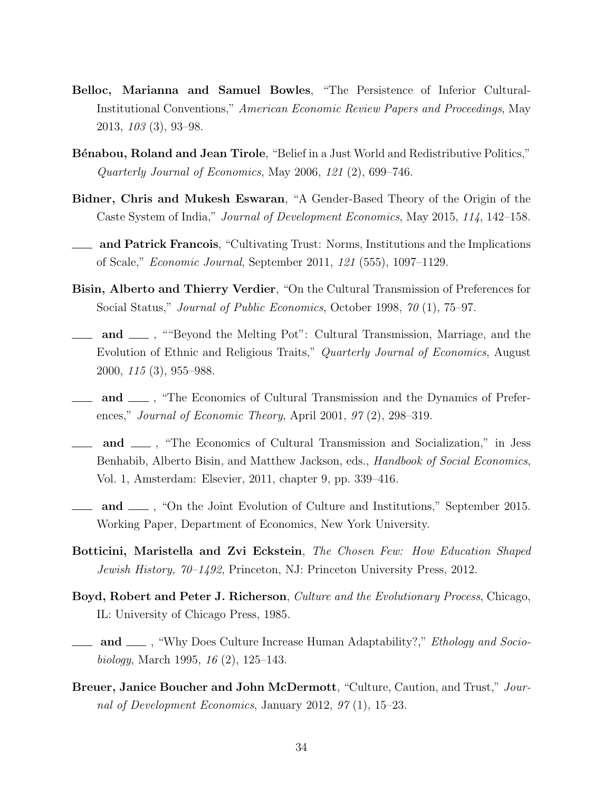- Belloc, Marianna and Samuel Bowles, "The Persistence of Inferior Cultural-Institutional Conventions," American Economic Review Papers and Proceedings, May 2013, 103 (3), 93–98.
- Bénabou, Roland and Jean Tirole, "Belief in a Just World and Redistributive Politics," Quarterly Journal of Economics, May 2006, 121 (2), 699–746.
- Bidner, Chris and Mukesh Eswaran, "A Gender-Based Theory of the Origin of the Caste System of India," Journal of Development Economics, May 2015, 114, 142–158.
- and Patrick Francois, "Cultivating Trust: Norms, Institutions and the Implications of Scale," Economic Journal, September 2011, 121 (555), 1097–1129.
- Bisin, Alberto and Thierry Verdier, "On the Cultural Transmission of Preferences for Social Status," Journal of Public Economics, October 1998, 70 (1), 75–97.
- $\Box$  and  $\Box$ , ""Beyond the Melting Pot": Cultural Transmission, Marriage, and the Evolution of Ethnic and Religious Traits," Quarterly Journal of Economics, August 2000, 115 (3), 955–988.
- and  $\equiv$ , "The Economics of Cultural Transmission and the Dynamics of Preferences," Journal of Economic Theory, April 2001, 97 (2), 298–319.
- and <sub>in</sub>, "The Economics of Cultural Transmission and Socialization," in Jess Benhabib, Alberto Bisin, and Matthew Jackson, eds., Handbook of Social Economics, Vol. 1, Amsterdam: Elsevier, 2011, chapter 9, pp. 339–416.
- and  $\mu$ , "On the Joint Evolution of Culture and Institutions," September 2015. Working Paper, Department of Economics, New York University.
- Botticini, Maristella and Zvi Eckstein, The Chosen Few: How Education Shaped Jewish History, 70–1492, Princeton, NJ: Princeton University Press, 2012.
- Boyd, Robert and Peter J. Richerson, Culture and the Evolutionary Process, Chicago, IL: University of Chicago Press, 1985.
- **and** , "Why Does Culture Increase Human Adaptability?," *Ethology and Socio*biology, March 1995, 16 (2), 125–143.
- Breuer, Janice Boucher and John McDermott, "Culture, Caution, and Trust," Journal of Development Economics, January 2012, 97 (1), 15–23.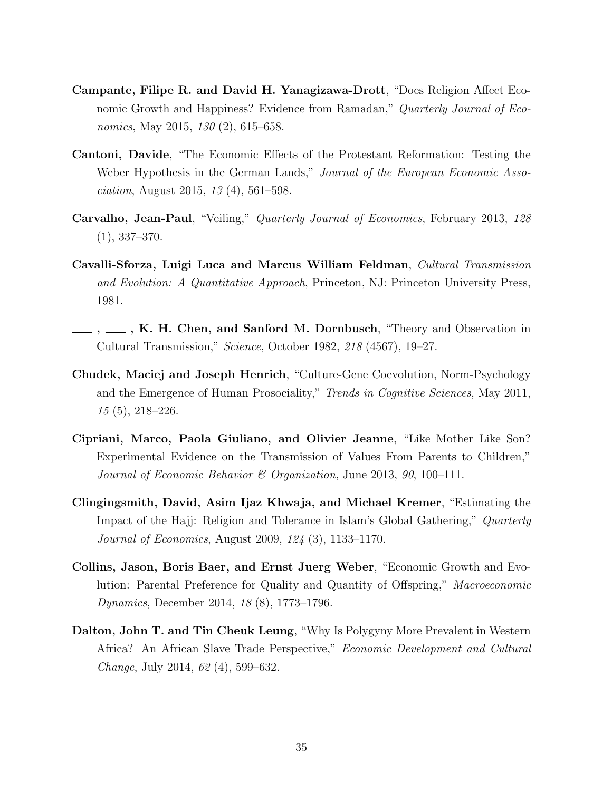- Campante, Filipe R. and David H. Yanagizawa-Drott, "Does Religion Affect Economic Growth and Happiness? Evidence from Ramadan," Quarterly Journal of Economics, May 2015, 130 (2), 615–658.
- Cantoni, Davide, "The Economic Effects of the Protestant Reformation: Testing the Weber Hypothesis in the German Lands," Journal of the European Economic Association, August 2015, 13 (4), 561–598.
- Carvalho, Jean-Paul, "Veiling," Quarterly Journal of Economics, February 2013, 128 (1), 337–370.
- Cavalli-Sforza, Luigi Luca and Marcus William Feldman, Cultural Transmission and Evolution: A Quantitative Approach, Princeton, NJ: Princeton University Press, 1981.
- $\mu_1, \ldots, K$ . H. Chen, and Sanford M. Dornbusch, "Theory and Observation in Cultural Transmission," Science, October 1982, 218 (4567), 19–27.
- Chudek, Maciej and Joseph Henrich, "Culture-Gene Coevolution, Norm-Psychology and the Emergence of Human Prosociality," Trends in Cognitive Sciences, May 2011, 15 (5), 218–226.
- Cipriani, Marco, Paola Giuliano, and Olivier Jeanne, "Like Mother Like Son? Experimental Evidence on the Transmission of Values From Parents to Children," Journal of Economic Behavior & Organization, June 2013, 90, 100–111.
- Clingingsmith, David, Asim Ijaz Khwaja, and Michael Kremer, "Estimating the Impact of the Hajj: Religion and Tolerance in Islam's Global Gathering," Quarterly Journal of Economics, August 2009, 124 (3), 1133–1170.
- Collins, Jason, Boris Baer, and Ernst Juerg Weber, "Economic Growth and Evolution: Parental Preference for Quality and Quantity of Offspring," Macroeconomic Dynamics, December 2014, 18 (8), 1773–1796.
- Dalton, John T. and Tin Cheuk Leung, "Why Is Polygyny More Prevalent in Western Africa? An African Slave Trade Perspective," Economic Development and Cultural Change, July 2014, 62 (4), 599–632.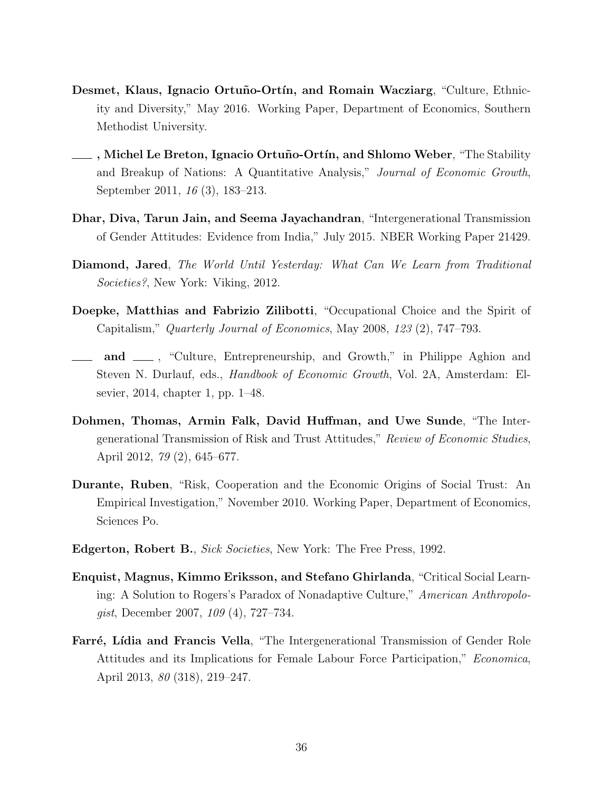- Desmet, Klaus, Ignacio Ortuño-Ortín, and Romain Wacziarg, "Culture, Ethnicity and Diversity," May 2016. Working Paper, Department of Economics, Southern Methodist University.
- $\_\_\_\,$  , Michel Le Breton, Ignacio Ortuño-Ortín, and Shlomo Weber, "The Stability and Breakup of Nations: A Quantitative Analysis," Journal of Economic Growth, September 2011, 16 (3), 183–213.
- Dhar, Diva, Tarun Jain, and Seema Jayachandran, "Intergenerational Transmission of Gender Attitudes: Evidence from India," July 2015. NBER Working Paper 21429.
- Diamond, Jared, The World Until Yesterday: What Can We Learn from Traditional Societies?, New York: Viking, 2012.
- Doepke, Matthias and Fabrizio Zilibotti, "Occupational Choice and the Spirit of Capitalism," Quarterly Journal of Economics, May 2008, 123 (2), 747–793.
- and  $\equiv$ , "Culture, Entrepreneurship, and Growth," in Philippe Aghion and Steven N. Durlauf, eds., Handbook of Economic Growth, Vol. 2A, Amsterdam: Elsevier, 2014, chapter 1, pp. 1–48.
- Dohmen, Thomas, Armin Falk, David Huffman, and Uwe Sunde, "The Intergenerational Transmission of Risk and Trust Attitudes," Review of Economic Studies, April 2012, 79 (2), 645–677.
- Durante, Ruben, "Risk, Cooperation and the Economic Origins of Social Trust: An Empirical Investigation," November 2010. Working Paper, Department of Economics, Sciences Po.
- Edgerton, Robert B., Sick Societies, New York: The Free Press, 1992.
- Enquist, Magnus, Kimmo Eriksson, and Stefano Ghirlanda, "Critical Social Learning: A Solution to Rogers's Paradox of Nonadaptive Culture," American Anthropologist, December 2007, 109 (4), 727–734.
- Farré, Lídia and Francis Vella, "The Intergenerational Transmission of Gender Role Attitudes and its Implications for Female Labour Force Participation," Economica, April 2013, 80 (318), 219–247.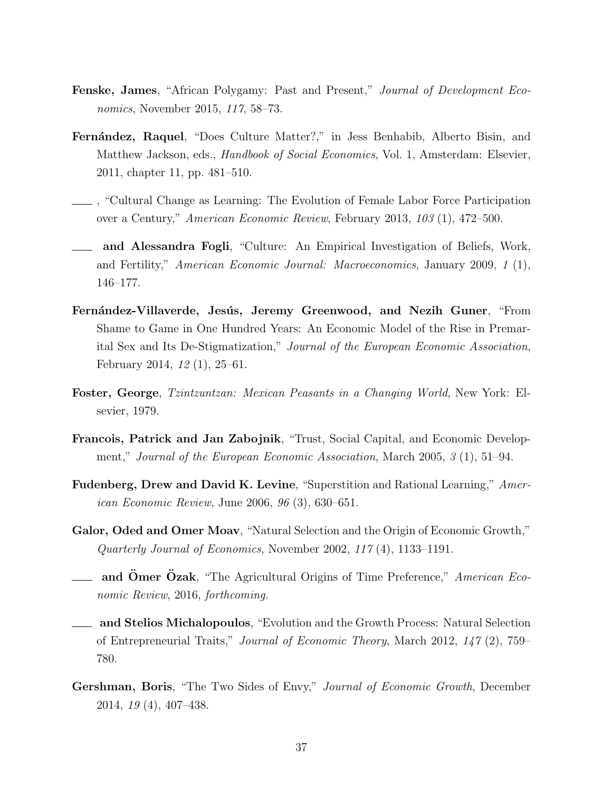- Fenske, James, "African Polygamy: Past and Present," Journal of Development Economics, November 2015, 117, 58–73.
- Fernández, Raquel, "Does Culture Matter?," in Jess Benhabib, Alberto Bisin, and Matthew Jackson, eds., *Handbook of Social Economics*, Vol. 1, Amsterdam: Elsevier, 2011, chapter 11, pp. 481–510.
- , "Cultural Change as Learning: The Evolution of Female Labor Force Participation over a Century," American Economic Review, February 2013, 103 (1), 472–500.
- and Alessandra Fogli, "Culture: An Empirical Investigation of Beliefs, Work, and Fertility," American Economic Journal: Macroeconomics, January 2009, 1 (1), 146–177.
- Fernández-Villaverde, Jesús, Jeremy Greenwood, and Nezih Guner, "From Shame to Game in One Hundred Years: An Economic Model of the Rise in Premarital Sex and Its De-Stigmatization," Journal of the European Economic Association, February 2014, 12 (1), 25–61.
- Foster, George, Tzintzuntzan: Mexican Peasants in a Changing World, New York: Elsevier, 1979.
- Francois, Patrick and Jan Zabojnik, "Trust, Social Capital, and Economic Development," Journal of the European Economic Association, March 2005, 3 (1), 51–94.
- Fudenberg, Drew and David K. Levine, "Superstition and Rational Learning," American Economic Review, June 2006, 96 (3), 630–651.
- Galor, Oded and Omer Moav, "Natural Selection and the Origin of Economic Growth," Quarterly Journal of Economics, November 2002, 117 (4), 1133–1191.
- and Ömer Özak, "The Agricultural Origins of Time Preference," American Economic Review, 2016, forthcoming.
- and Stelios Michalopoulos, "Evolution and the Growth Process: Natural Selection of Entrepreneurial Traits," Journal of Economic Theory, March 2012, 147 (2), 759– 780.
- Gershman, Boris, "The Two Sides of Envy," Journal of Economic Growth, December 2014, 19 (4), 407–438.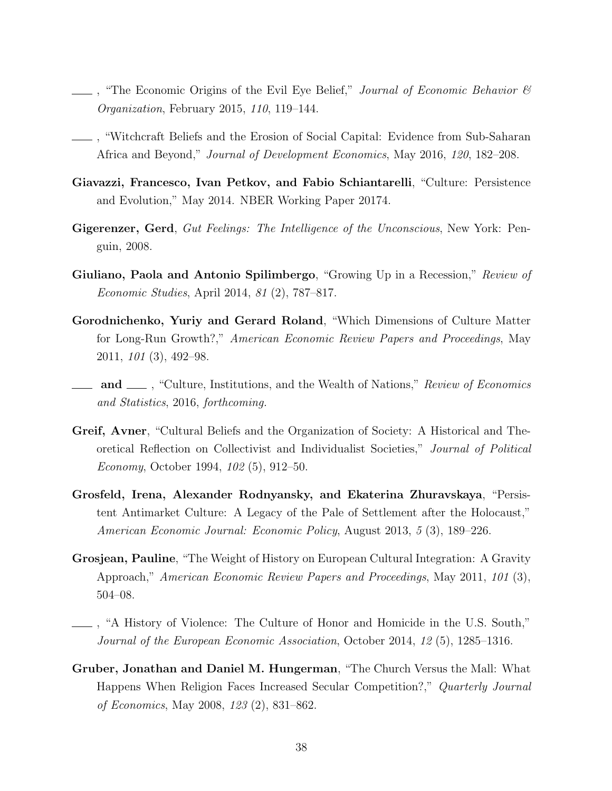- , "The Economic Origins of the Evil Eye Belief," Journal of Economic Behavior & Organization, February 2015, 110, 119–144.
- , "Witchcraft Beliefs and the Erosion of Social Capital: Evidence from Sub-Saharan Africa and Beyond," Journal of Development Economics, May 2016, 120, 182–208.
- Giavazzi, Francesco, Ivan Petkov, and Fabio Schiantarelli, "Culture: Persistence and Evolution," May 2014. NBER Working Paper 20174.
- Gigerenzer, Gerd, Gut Feelings: The Intelligence of the Unconscious, New York: Penguin, 2008.
- Giuliano, Paola and Antonio Spilimbergo, "Growing Up in a Recession," Review of Economic Studies, April 2014, 81 (2), 787–817.
- Gorodnichenko, Yuriy and Gerard Roland, "Which Dimensions of Culture Matter for Long-Run Growth?," American Economic Review Papers and Proceedings, May 2011, 101 (3), 492–98.
- **and** , "Culture, Institutions, and the Wealth of Nations," Review of Economics and Statistics, 2016, forthcoming.
- Greif, Avner, "Cultural Beliefs and the Organization of Society: A Historical and Theoretical Reflection on Collectivist and Individualist Societies," Journal of Political Economy, October 1994, 102 (5), 912–50.
- Grosfeld, Irena, Alexander Rodnyansky, and Ekaterina Zhuravskaya, "Persistent Antimarket Culture: A Legacy of the Pale of Settlement after the Holocaust," American Economic Journal: Economic Policy, August 2013, 5 (3), 189–226.
- Grosjean, Pauline, "The Weight of History on European Cultural Integration: A Gravity Approach," American Economic Review Papers and Proceedings, May 2011, 101 (3), 504–08.
- , "A History of Violence: The Culture of Honor and Homicide in the U.S. South," Journal of the European Economic Association, October 2014, 12 (5), 1285–1316.
- Gruber, Jonathan and Daniel M. Hungerman, "The Church Versus the Mall: What Happens When Religion Faces Increased Secular Competition?," Quarterly Journal of Economics, May 2008, 123 (2), 831–862.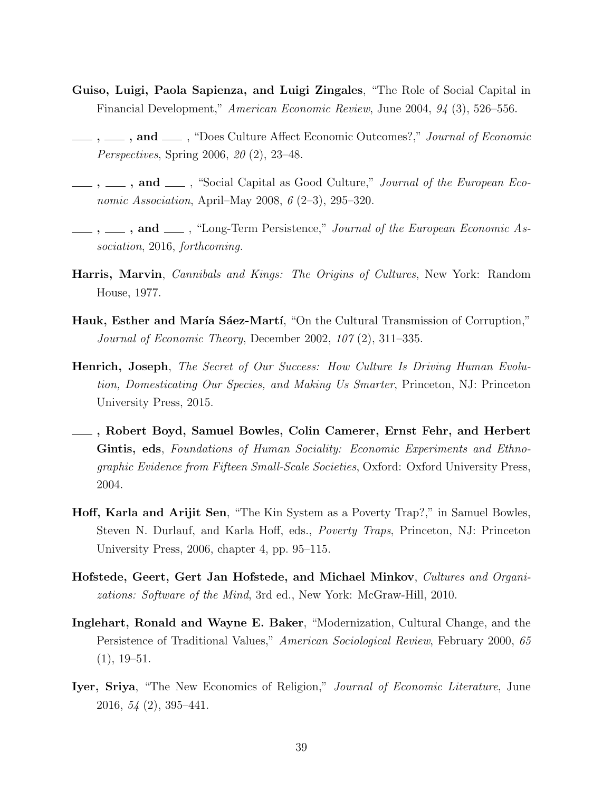- Guiso, Luigi, Paola Sapienza, and Luigi Zingales, "The Role of Social Capital in Financial Development," American Economic Review, June 2004, 94 (3), 526–556.
- $, \_\_\_$ , and  $\_\_\_$ , "Does Culture Affect Economic Outcomes?," Journal of Economic Perspectives, Spring 2006, 20 (2), 23–48.
- $\mu$ , , , and  $\mu$ , "Social Capital as Good Culture," *Journal of the European Eco*nomic Association, April–May 2008, 6 (2–3), 295–320.
- $\mu_1, \mu_2, \ldots,$  and  $\mu_3$ , "Long-Term Persistence," *Journal of the European Economic As*sociation, 2016, forthcoming.
- Harris, Marvin, Cannibals and Kings: The Origins of Cultures, New York: Random House, 1977.
- Hauk, Esther and María Sáez-Martí, "On the Cultural Transmission of Corruption," Journal of Economic Theory, December 2002, 107 (2), 311–335.
- Henrich, Joseph, The Secret of Our Success: How Culture Is Driving Human Evolution, Domesticating Our Species, and Making Us Smarter, Princeton, NJ: Princeton University Press, 2015.
- , Robert Boyd, Samuel Bowles, Colin Camerer, Ernst Fehr, and Herbert Gintis, eds, Foundations of Human Sociality: Economic Experiments and Ethnographic Evidence from Fifteen Small-Scale Societies, Oxford: Oxford University Press, 2004.
- Hoff, Karla and Arijit Sen, "The Kin System as a Poverty Trap?," in Samuel Bowles, Steven N. Durlauf, and Karla Hoff, eds., Poverty Traps, Princeton, NJ: Princeton University Press, 2006, chapter 4, pp. 95–115.
- Hofstede, Geert, Gert Jan Hofstede, and Michael Minkov, Cultures and Organizations: Software of the Mind, 3rd ed., New York: McGraw-Hill, 2010.
- Inglehart, Ronald and Wayne E. Baker, "Modernization, Cultural Change, and the Persistence of Traditional Values," American Sociological Review, February 2000, 65  $(1), 19-51.$
- Iyer, Sriya, "The New Economics of Religion," Journal of Economic Literature, June 2016, 54 (2), 395–441.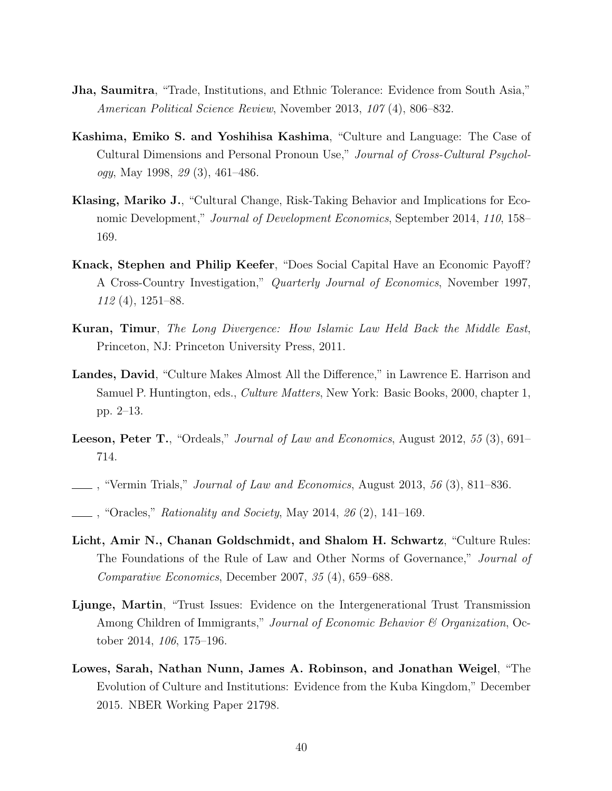- Jha, Saumitra, "Trade, Institutions, and Ethnic Tolerance: Evidence from South Asia," American Political Science Review, November 2013, 107 (4), 806–832.
- Kashima, Emiko S. and Yoshihisa Kashima, "Culture and Language: The Case of Cultural Dimensions and Personal Pronoun Use," Journal of Cross-Cultural Psychology, May 1998, 29 (3), 461–486.
- Klasing, Mariko J., "Cultural Change, Risk-Taking Behavior and Implications for Economic Development," Journal of Development Economics, September 2014, 110, 158– 169.
- Knack, Stephen and Philip Keefer, "Does Social Capital Have an Economic Payoff? A Cross-Country Investigation," Quarterly Journal of Economics, November 1997, 112 (4), 1251–88.
- Kuran, Timur, The Long Divergence: How Islamic Law Held Back the Middle East, Princeton, NJ: Princeton University Press, 2011.
- Landes, David, "Culture Makes Almost All the Difference," in Lawrence E. Harrison and Samuel P. Huntington, eds., Culture Matters, New York: Basic Books, 2000, chapter 1, pp. 2–13.
- Leeson, Peter T., "Ordeals," Journal of Law and Economics, August 2012, 55 (3), 691– 714.
- $\frac{1}{1}$ , "Vermin Trials," *Journal of Law and Economics*, August 2013, 56 (3), 811–836.
- $\qquad \qquad$ , "Oracles," Rationality and Society, May 2014, 26 (2), 141–169.
- Licht, Amir N., Chanan Goldschmidt, and Shalom H. Schwartz, "Culture Rules: The Foundations of the Rule of Law and Other Norms of Governance," Journal of Comparative Economics, December 2007, 35 (4), 659–688.
- Ljunge, Martin, "Trust Issues: Evidence on the Intergenerational Trust Transmission Among Children of Immigrants," Journal of Economic Behavior & Organization, October 2014, 106, 175–196.
- Lowes, Sarah, Nathan Nunn, James A. Robinson, and Jonathan Weigel, "The Evolution of Culture and Institutions: Evidence from the Kuba Kingdom," December 2015. NBER Working Paper 21798.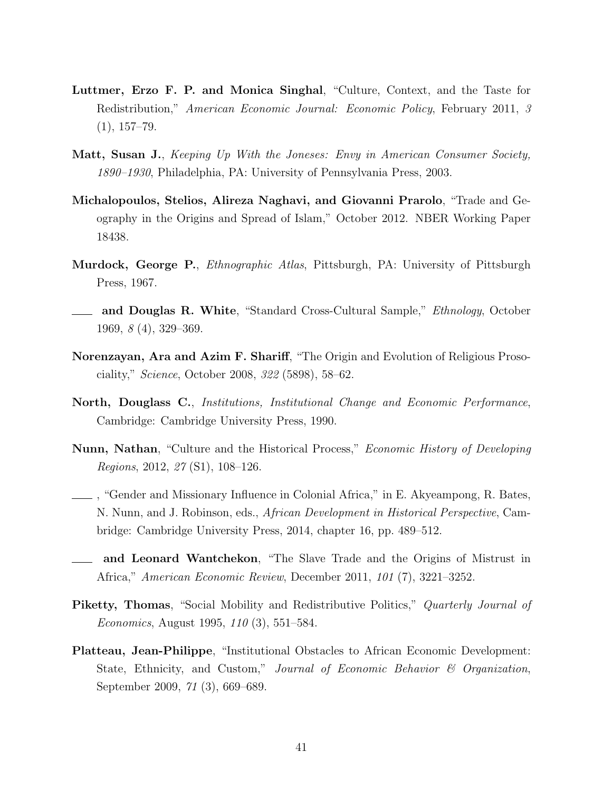- Luttmer, Erzo F. P. and Monica Singhal, "Culture, Context, and the Taste for Redistribution," American Economic Journal: Economic Policy, February 2011, 3  $(1), 157-79.$
- Matt, Susan J., Keeping Up With the Joneses: Envy in American Consumer Society, 1890–1930, Philadelphia, PA: University of Pennsylvania Press, 2003.
- Michalopoulos, Stelios, Alireza Naghavi, and Giovanni Prarolo, "Trade and Geography in the Origins and Spread of Islam," October 2012. NBER Working Paper 18438.
- Murdock, George P., Ethnographic Atlas, Pittsburgh, PA: University of Pittsburgh Press, 1967.
- and Douglas R. White, "Standard Cross-Cultural Sample," Ethnology, October 1969, 8 (4), 329–369.
- Norenzayan, Ara and Azim F. Shariff, "The Origin and Evolution of Religious Prosociality," Science, October 2008, 322 (5898), 58–62.
- North, Douglass C., Institutions, Institutional Change and Economic Performance, Cambridge: Cambridge University Press, 1990.
- Nunn, Nathan, "Culture and the Historical Process," Economic History of Developing Regions, 2012, 27 (S1), 108–126.
- , "Gender and Missionary Influence in Colonial Africa," in E. Akyeampong, R. Bates, N. Nunn, and J. Robinson, eds., African Development in Historical Perspective, Cambridge: Cambridge University Press, 2014, chapter 16, pp. 489–512.
- and Leonard Wantchekon, "The Slave Trade and the Origins of Mistrust in Africa," American Economic Review, December 2011, 101 (7), 3221–3252.
- **Piketty, Thomas,** "Social Mobility and Redistributive Politics," *Quarterly Journal of* Economics, August 1995, 110 (3), 551–584.
- Platteau, Jean-Philippe, "Institutional Obstacles to African Economic Development: State, Ethnicity, and Custom," Journal of Economic Behavior & Organization, September 2009, 71 (3), 669–689.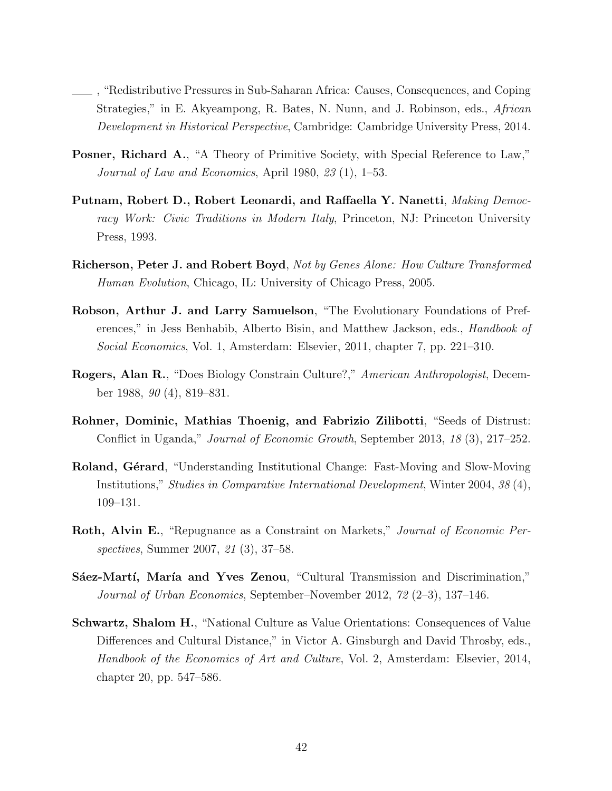- , "Redistributive Pressures in Sub-Saharan Africa: Causes, Consequences, and Coping Strategies," in E. Akyeampong, R. Bates, N. Nunn, and J. Robinson, eds., African Development in Historical Perspective, Cambridge: Cambridge University Press, 2014.
- Posner, Richard A., "A Theory of Primitive Society, with Special Reference to Law," Journal of Law and Economics, April 1980, 23 (1), 1–53.
- Putnam, Robert D., Robert Leonardi, and Raffaella Y. Nanetti, Making Democracy Work: Civic Traditions in Modern Italy, Princeton, NJ: Princeton University Press, 1993.
- Richerson, Peter J. and Robert Boyd, Not by Genes Alone: How Culture Transformed Human Evolution, Chicago, IL: University of Chicago Press, 2005.
- Robson, Arthur J. and Larry Samuelson, "The Evolutionary Foundations of Preferences," in Jess Benhabib, Alberto Bisin, and Matthew Jackson, eds., Handbook of Social Economics, Vol. 1, Amsterdam: Elsevier, 2011, chapter 7, pp. 221–310.
- Rogers, Alan R., "Does Biology Constrain Culture?," American Anthropologist, December 1988, 90 (4), 819–831.
- Rohner, Dominic, Mathias Thoenig, and Fabrizio Zilibotti, "Seeds of Distrust: Conflict in Uganda," Journal of Economic Growth, September 2013, 18 (3), 217–252.
- Roland, Gérard, "Understanding Institutional Change: Fast-Moving and Slow-Moving Institutions," Studies in Comparative International Development, Winter 2004, 38 (4), 109–131.
- Roth, Alvin E., "Repugnance as a Constraint on Markets," Journal of Economic Perspectives, Summer 2007, 21 (3), 37–58.
- Sáez-Martí, María and Yves Zenou, "Cultural Transmission and Discrimination," Journal of Urban Economics, September–November 2012, 72 (2–3), 137–146.
- Schwartz, Shalom H., "National Culture as Value Orientations: Consequences of Value Differences and Cultural Distance," in Victor A. Ginsburgh and David Throsby, eds., Handbook of the Economics of Art and Culture, Vol. 2, Amsterdam: Elsevier, 2014, chapter 20, pp. 547–586.